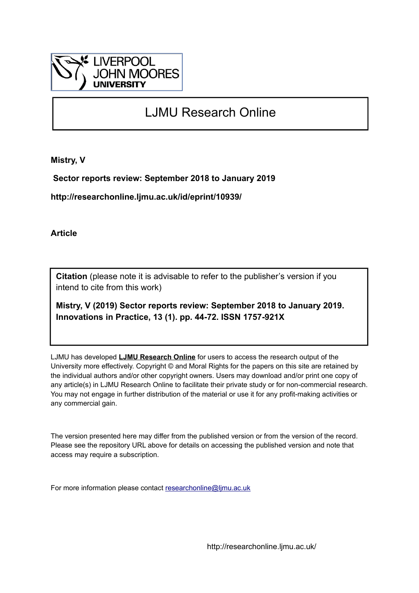

# LJMU Research Online

**Mistry, V**

 **Sector reports review: September 2018 to January 2019**

**http://researchonline.ljmu.ac.uk/id/eprint/10939/**

**Article**

**Citation** (please note it is advisable to refer to the publisher's version if you intend to cite from this work)

**Mistry, V (2019) Sector reports review: September 2018 to January 2019. Innovations in Practice, 13 (1). pp. 44-72. ISSN 1757-921X** 

LJMU has developed **[LJMU Research Online](http://researchonline.ljmu.ac.uk/)** for users to access the research output of the University more effectively. Copyright © and Moral Rights for the papers on this site are retained by the individual authors and/or other copyright owners. Users may download and/or print one copy of any article(s) in LJMU Research Online to facilitate their private study or for non-commercial research. You may not engage in further distribution of the material or use it for any profit-making activities or any commercial gain.

The version presented here may differ from the published version or from the version of the record. Please see the repository URL above for details on accessing the published version and note that access may require a subscription.

For more information please contact [researchonline@ljmu.ac.uk](mailto:researchonline@ljmu.ac.uk)

http://researchonline.ljmu.ac.uk/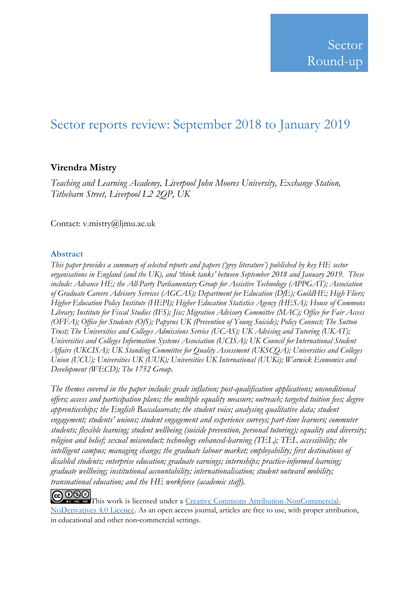# Sector reports review: September 2018 to January 2019

# **Virendra Mistry**

*Teaching and Learning Academy, Liverpool John Moores University, Exchange Station, Tithebarn Street, Liverpool L2 2QP, UK*

Contact: v.mistry@ljmu.ac.uk

# **Abstract**

*This paper provides a summary of selected reports and papers ('grey literature') published by key HE sector organisations in England (and the UK), and 'think tanks' between September 2018 and January 2019. These include: Advance HE; the All-Party Parliamentary Group for Assistive Technology (APPGAT); Association of Graduate Careers Advisory Services (AGCAS); Department for Education (DfE); GuildHE; High Fliers; Higher Education Policy Institute (HEPI); Higher Education Statistics Agency (HESA); House of Commons Library; Institute for Fiscal Studies (IFS); Jisc; Migration Advisory Committee (MAC); Office for Fair Access (OFFA); Office for Students (OfS); Papyrus UK (Prevention of Young Suicide); Policy Connect; The Sutton Trust; The Universities and Colleges Admissions Service (UCAS); UK Advising and Tutoring (UKAT); Universities and Colleges Information Systems Association (UCISA); UK Council for International Student Affairs (UKCISA); UK Standing Committee for Quality Assessment (UKSCQA); Universities and Colleges Union (UCU); Universities UK (UUK); Universities UK International (UUKi); Warwick Economics and Development (WECD); The 1752 Group.*

*The themes covered in the paper include: grade inflation; post-qualification applications; unconditional offers; access and participation plans; the multiple equality measure; outreach; targeted tuition fees; degree apprenticeships; the English Baccalaureate; the student voice; analysing qualitative data; student engagement; students' unions; student engagement and experience surveys; part-time learners; commuter students; flexible learning; student wellbeing (suicide prevention, personal tutoring); equality and diversity; religion and belief; sexual misconduct; technology enhanced-learning (TEL); TEL accessibility; the intelligent campus; managing change; the graduate labour market; employability; first destinations of disabled students; enterprise education; graduate earnings; internships; practice-informed learning; graduate wellbeing; institutional accountability; internationalisation; student outward mobility; transnational education; and the HE workforce (academic staff).* 

**COOO**<br>BY NO ID This work is licensed under a <u>Creative Commons Attribution-NonCommercial-</u> [NoDerivatives](http://creativecommons.org/licenses/by-nc-nd/4.0/) 4.0 Licence. As an open access journal, articles are free to use, with proper attribution, in educational and other non‐commercial settings.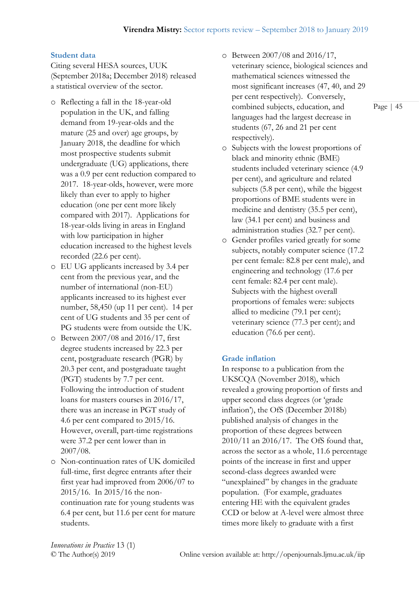# **Student data**

Citing several HESA sources, UUK (September 2018a; December 2018) released a statistical overview of the sector.

- o Reflecting a fall in the 18-year-old population in the UK, and falling demand from 19-year-olds and the mature (25 and over) age groups, by January 2018, the deadline for which most prospective students submit undergraduate (UG) applications, there was a 0.9 per cent reduction compared to 2017. 18-year-olds, however, were more likely than ever to apply to higher education (one per cent more likely compared with 2017). Applications for 18-year-olds living in areas in England with low participation in higher education increased to the highest levels recorded (22.6 per cent).
- o EU UG applicants increased by 3.4 per cent from the previous year, and the number of international (non-EU) applicants increased to its highest ever number, 58,450 (up 11 per cent). 14 per cent of UG students and 35 per cent of PG students were from outside the UK.
- o Between 2007/08 and 2016/17, first degree students increased by 22.3 per cent, postgraduate research (PGR) by 20.3 per cent, and postgraduate taught (PGT) students by 7.7 per cent. Following the introduction of student loans for masters courses in 2016/17, there was an increase in PGT study of 4.6 per cent compared to 2015/16. However, overall, part-time registrations were 37.2 per cent lower than in 2007/08.
- o Non-continuation rates of UK domiciled full-time, first degree entrants after their first year had improved from 2006/07 to 2015/16. In 2015/16 the noncontinuation rate for young students was 6.4 per cent, but 11.6 per cent for mature students.
- o Between 2007/08 and 2016/17, veterinary science, biological sciences and mathematical sciences witnessed the most significant increases (47, 40, and 29 per cent respectively). Conversely, combined subjects, education, and languages had the largest decrease in students (67, 26 and 21 per cent respectively).
- o Subjects with the lowest proportions of black and minority ethnic (BME) students included veterinary science (4.9 per cent), and agriculture and related subjects (5.8 per cent), while the biggest proportions of BME students were in medicine and dentistry (35.5 per cent), law (34.1 per cent) and business and administration studies (32.7 per cent).
- o Gender profiles varied greatly for some subjects, notably computer science (17.2 per cent female: 82.8 per cent male), and engineering and technology (17.6 per cent female: 82.4 per cent male). Subjects with the highest overall proportions of females were: subjects allied to medicine (79.1 per cent); veterinary science (77.3 per cent); and education (76.6 per cent).

#### **Grade inflation**

In response to a publication from the UKSCQA (November 2018), which revealed a growing proportion of firsts and upper second class degrees (or 'grade inflation'), the OfS (December 2018b) published analysis of changes in the proportion of these degrees between 2010/11 an 2016/17. The OfS found that, across the sector as a whole, 11.6 percentage points of the increase in first and upper second-class degrees awarded were "unexplained" by changes in the graduate population. (For example, graduates entering HE with the equivalent grades CCD or below at A-level were almost three times more likely to graduate with a first

*Innovations in Practice* 13 (1)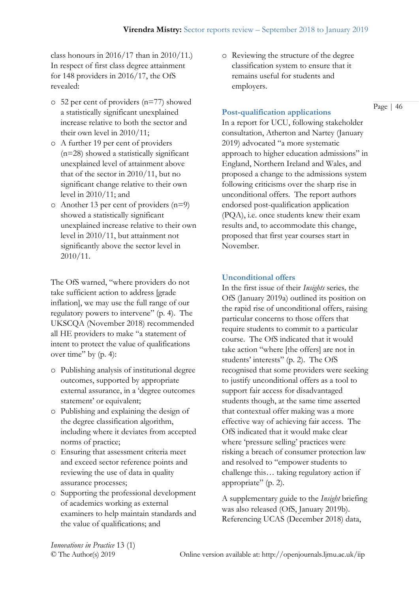class honours in  $2016/17$  than in  $2010/11$ .) In respect of first class degree attainment for 148 providers in 2016/17, the OfS revealed:

- o 52 per cent of providers (n=77) showed a statistically significant unexplained increase relative to both the sector and their own level in 2010/11;
- o A further 19 per cent of providers (n=28) showed a statistically significant unexplained level of attainment above that of the sector in 2010/11, but no significant change relative to their own level in 2010/11; and
- o Another 13 per cent of providers (n=9) showed a statistically significant unexplained increase relative to their own level in 2010/11, but attainment not significantly above the sector level in 2010/11.

The OfS warned, "where providers do not take sufficient action to address [grade inflation], we may use the full range of our regulatory powers to intervene" (p. 4). The UKSCQA (November 2018) recommended all HE providers to make "a statement of intent to protect the value of qualifications over time" by (p. 4):

- o Publishing analysis of institutional degree outcomes, supported by appropriate external assurance, in a 'degree outcomes statement' or equivalent;
- o Publishing and explaining the design of the degree classification algorithm, including where it deviates from accepted norms of practice;
- o Ensuring that assessment criteria meet and exceed sector reference points and reviewing the use of data in quality assurance processes;
- o Supporting the professional development of academics working as external examiners to help maintain standards and the value of qualifications; and

o Reviewing the structure of the degree classification system to ensure that it remains useful for students and employers.

# **Post-qualification applications**

In a report for UCU, following stakeholder consultation, Atherton and Nartey (January 2019) advocated "a more systematic approach to higher education admissions" in England, Northern Ireland and Wales, and proposed a change to the admissions system following criticisms over the sharp rise in unconditional offers. The report authors endorsed post-qualification application (PQA), i.e. once students knew their exam results and, to accommodate this change, proposed that first year courses start in November.

# **Unconditional offers**

In the first issue of their *Insights* series*,* the OfS (January 2019a) outlined its position on the rapid rise of unconditional offers, raising particular concerns to those offers that require students to commit to a particular course. The OfS indicated that it would take action "where [the offers] are not in students' interests" (p. 2). The OfS recognised that some providers were seeking to justify unconditional offers as a tool to support fair access for disadvantaged students though, at the same time asserted that contextual offer making was a more effective way of achieving fair access. The OfS indicated that it would make clear where 'pressure selling' practices were risking a breach of consumer protection law and resolved to "empower students to challenge this… taking regulatory action if appropriate" (p. 2).

A supplementary guide to the *Insight* briefing was also released (OfS, January 2019b). Referencing UCAS (December 2018) data,

*Innovations in Practice* 13 (1)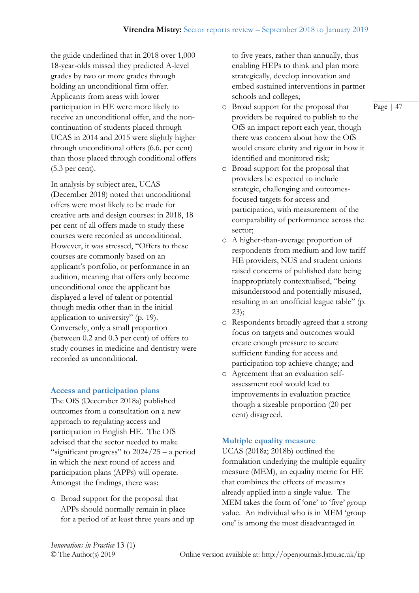the guide underlined that in 2018 over 1,000 18-year-olds missed they predicted A-level grades by two or more grades through holding an unconditional firm offer. Applicants from areas with lower participation in HE were more likely to receive an unconditional offer, and the noncontinuation of students placed through UCAS in 2014 and 2015 were slightly higher through unconditional offers (6.6. per cent) than those placed through conditional offers (5.3 per cent).

In analysis by subject area, UCAS (December 2018) noted that unconditional offers were most likely to be made for creative arts and design courses: in 2018, 18 per cent of all offers made to study these courses were recorded as unconditional. However, it was stressed, "Offers to these courses are commonly based on an applicant's portfolio, or performance in an audition, meaning that offers only become unconditional once the applicant has displayed a level of talent or potential though media other than in the initial application to university" (p. 19). Conversely, only a small proportion (between 0.2 and 0.3 per cent) of offers to study courses in medicine and dentistry were recorded as unconditional.

# **Access and participation plans**

The OfS (December 2018a) published outcomes from a consultation on a new approach to regulating access and participation in English HE. The OfS advised that the sector needed to make "significant progress" to  $2024/25 - a$  period in which the next round of access and participation plans (APPs) will operate. Amongst the findings, there was:

o Broad support for the proposal that APPs should normally remain in place for a period of at least three years and up to five years, rather than annually, thus enabling HEPs to think and plan more strategically, develop innovation and embed sustained interventions in partner schools and colleges;

- o Broad support for the proposal that providers be required to publish to the OfS an impact report each year, though there was concern about how the OfS would ensure clarity and rigour in how it identified and monitored risk;
- o Broad support for the proposal that providers be expected to include strategic, challenging and outcomesfocused targets for access and participation, with measurement of the comparability of performance across the sector;
- o A higher-than-average proportion of respondents from medium and low tariff HE providers, NUS and student unions raised concerns of published date being inappropriately contextualised, "being misunderstood and potentially misused, resulting in an unofficial league table" (p. 23);
- o Respondents broadly agreed that a strong focus on targets and outcomes would create enough pressure to secure sufficient funding for access and participation top achieve change; and
- o Agreement that an evaluation selfassessment tool would lead to improvements in evaluation practice though a sizeable proportion (20 per cent) disagreed.

# **Multiple equality measure**

UCAS (2018a; 2018b) outlined the formulation underlying the multiple equality measure (MEM), an equality metric for HE that combines the effects of measures already applied into a single value. The MEM takes the form of 'one' to 'five' group value. An individual who is in MEM 'group one' is among the most disadvantaged in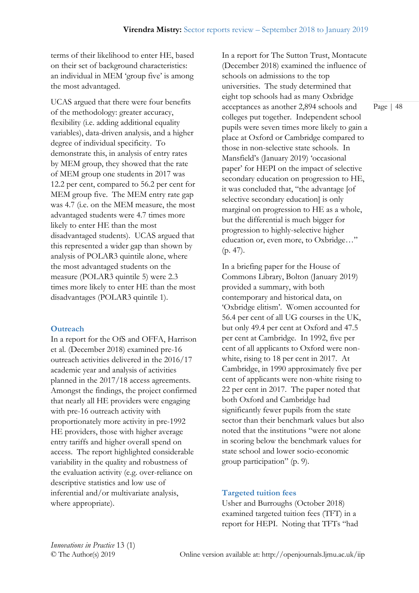terms of their likelihood to enter HE, based on their set of background characteristics: an individual in MEM 'group five' is among the most advantaged.

UCAS argued that there were four benefits of the methodology: greater accuracy, flexibility (i.e. adding additional equality variables), data-driven analysis, and a higher degree of individual specificity. To demonstrate this, in analysis of entry rates by MEM group, they showed that the rate of MEM group one students in 2017 was 12.2 per cent, compared to 56.2 per cent for MEM group five. The MEM entry rate gap was 4.7 (i.e. on the MEM measure, the most advantaged students were 4.7 times more likely to enter HE than the most disadvantaged students). UCAS argued that this represented a wider gap than shown by analysis of POLAR3 quintile alone, where the most advantaged students on the measure (POLAR3 quintile 5) were 2.3 times more likely to enter HE than the most disadvantages (POLAR3 quintile 1).

# **Outreach**

In a report for the OfS and OFFA, Harrison et al. (December 2018) examined pre-16 outreach activities delivered in the 2016/17 academic year and analysis of activities planned in the 2017/18 access agreements. Amongst the findings, the project confirmed that nearly all HE providers were engaging with pre-16 outreach activity with proportionately more activity in pre-1992 HE providers, those with higher average entry tariffs and higher overall spend on access. The report highlighted considerable variability in the quality and robustness of the evaluation activity (e.g. over-reliance on descriptive statistics and low use of inferential and/or multivariate analysis, where appropriate).

In a report for The Sutton Trust, Montacute (December 2018) examined the influence of schools on admissions to the top universities. The study determined that eight top schools had as many Oxbridge acceptances as another 2,894 schools and colleges put together. Independent school pupils were seven times more likely to gain a place at Oxford or Cambridge compared to those in non-selective state schools. In Mansfield's (January 2019) 'occasional paper' for HEPI on the impact of selective secondary education on progression to HE, it was concluded that, "the advantage [of selective secondary education] is only marginal on progression to HE as a whole, but the differential is much bigger for progression to highly-selective higher education or, even more, to Oxbridge…" (p. 47).

In a briefing paper for the House of Commons Library, Bolton (January 2019) provided a summary, with both contemporary and historical data, on 'Oxbridge elitism'. Women accounted for 56.4 per cent of all UG courses in the UK, but only 49.4 per cent at Oxford and 47.5 per cent at Cambridge. In 1992, five per cent of all applicants to Oxford were nonwhite, rising to 18 per cent in 2017. At Cambridge, in 1990 approximately five per cent of applicants were non-white rising to 22 per cent in 2017. The paper noted that both Oxford and Cambridge had significantly fewer pupils from the state sector than their benchmark values but also noted that the institutions "were not alone in scoring below the benchmark values for state school and lower socio-economic group participation" (p. 9).

#### **Targeted tuition fees**

Usher and Burroughs (October 2018) examined targeted tuition fees (TFT) in a report for HEPI. Noting that TFTs "had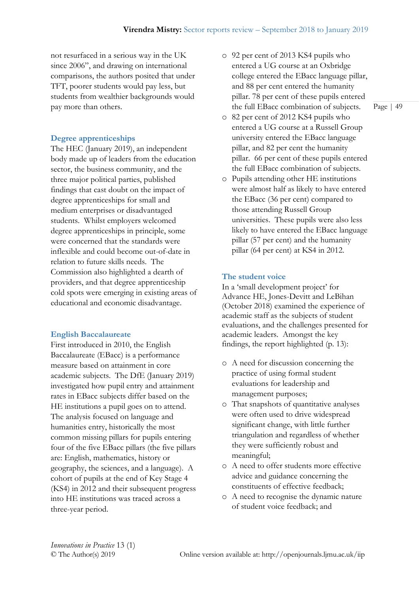not resurfaced in a serious way in the UK since 2006", and drawing on international comparisons, the authors posited that under TFT, poorer students would pay less, but students from wealthier backgrounds would pay more than others.

# **Degree apprenticeships**

The HEC (January 2019), an independent body made up of leaders from the education sector, the business community, and the three major political parties, published findings that cast doubt on the impact of degree apprenticeships for small and medium enterprises or disadvantaged students. Whilst employers welcomed degree apprenticeships in principle, some were concerned that the standards were inflexible and could become out-of-date in relation to future skills needs. The Commission also highlighted a dearth of providers, and that degree apprenticeship cold spots were emerging in existing areas of educational and economic disadvantage.

# **English Baccalaureate**

First introduced in 2010, the English Baccalaureate (EBacc) is a performance measure based on attainment in core academic subjects. The DfE (January 2019) investigated how pupil entry and attainment rates in EBacc subjects differ based on the HE institutions a pupil goes on to attend. The analysis focused on language and humanities entry, historically the most common missing pillars for pupils entering four of the five EBacc pillars (the five pillars are: English, mathematics, history or geography, the sciences, and a language). A cohort of pupils at the end of Key Stage 4 (KS4) in 2012 and their subsequent progress into HE institutions was traced across a three-year period.

- o 92 per cent of 2013 KS4 pupils who entered a UG course at an Oxbridge college entered the EBacc language pillar, and 88 per cent entered the humanity pillar. 78 per cent of these pupils entered the full EBacc combination of subjects.
- o 82 per cent of 2012 KS4 pupils who entered a UG course at a Russell Group university entered the EBacc language pillar, and 82 per cent the humanity pillar. 66 per cent of these pupils entered the full EBacc combination of subjects.
- o Pupils attending other HE institutions were almost half as likely to have entered the EBacc (36 per cent) compared to those attending Russell Group universities. These pupils were also less likely to have entered the EBacc language pillar (57 per cent) and the humanity pillar (64 per cent) at KS4 in 2012.

# **The student voice**

In a 'small development project' for Advance HE, Jones-Devitt and LeBihan (October 2018) examined the experience of academic staff as the subjects of student evaluations, and the challenges presented for academic leaders. Amongst the key findings, the report highlighted (p. 13):

- o A need for discussion concerning the practice of using formal student evaluations for leadership and management purposes;
- o That snapshots of quantitative analyses were often used to drive widespread significant change, with little further triangulation and regardless of whether they were sufficiently robust and meaningful;
- o A need to offer students more effective advice and guidance concerning the constituents of effective feedback;
- o A need to recognise the dynamic nature of student voice feedback; and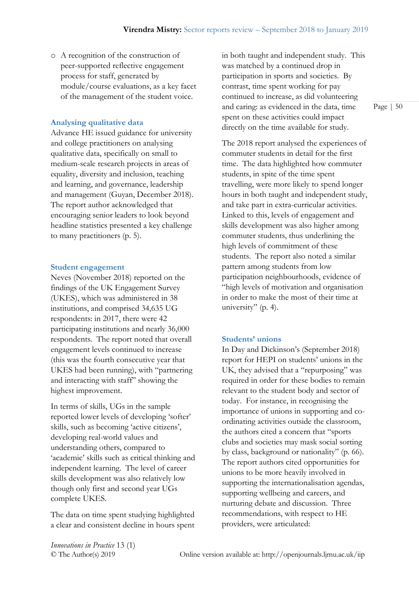o A recognition of the construction of peer-supported reflective engagement process for staff, generated by module/course evaluations, as a key facet of the management of the student voice.

#### **Analysing qualitative data**

Advance HE issued guidance for university and college practitioners on analysing qualitative data, specifically on small to medium-scale research projects in areas of equality, diversity and inclusion, teaching and learning, and governance, leadership and management (Guyan, December 2018). The report author acknowledged that encouraging senior leaders to look beyond headline statistics presented a key challenge to many practitioners (p. 5).

#### **Student engagement**

Neves (November 2018) reported on the findings of the UK Engagement Survey (UKES), which was administered in 38 institutions, and comprised 34,635 UG respondents: in 2017, there were 42 participating institutions and nearly 36,000 respondents. The report noted that overall engagement levels continued to increase (this was the fourth consecutive year that UKES had been running), with "partnering and interacting with staff" showing the highest improvement.

In terms of skills, UGs in the sample reported lower levels of developing 'softer' skills, such as becoming 'active citizens', developing real-world values and understanding others, compared to 'academic' skills such as critical thinking and independent learning. The level of career skills development was also relatively low though only first and second year UGs complete UKES.

The data on time spent studying highlighted a clear and consistent decline in hours spent in both taught and independent study. This was matched by a continued drop in participation in sports and societies. By contrast, time spent working for pay continued to increase, as did volunteering and caring: as evidenced in the data, time spent on these activities could impact directly on the time available for study.

The 2018 report analysed the experiences of commuter students in detail for the first time. The data highlighted how commuter students, in spite of the time spent travelling, were more likely to spend longer hours in both taught and independent study, and take part in extra-curricular activities. Linked to this, levels of engagement and skills development was also higher among commuter students, thus underlining the high levels of commitment of these students. The report also noted a similar pattern among students from low participation neighbourhoods, evidence of "high levels of motivation and organisation in order to make the most of their time at university" (p. 4).

### **Students' unions**

In Day and Dickinson's (September 2018) report for HEPI on students' unions in the UK, they advised that a "repurposing" was required in order for these bodies to remain relevant to the student body and sector of today. For instance, in recognising the importance of unions in supporting and coordinating activities outside the classroom, the authors cited a concern that "sports clubs and societies may mask social sorting by class, background or nationality" (p. 66). The report authors cited opportunities for unions to be more heavily involved in supporting the internationalisation agendas, supporting wellbeing and careers, and nurturing debate and discussion. Three recommendations, with respect to HE providers, were articulated:

*Innovations in Practice* 13 (1)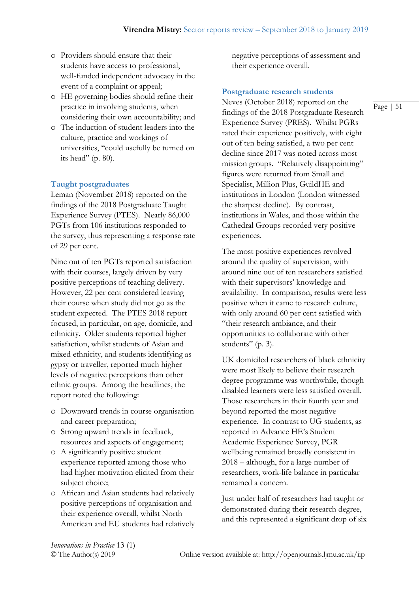- o Providers should ensure that their students have access to professional, well-funded independent advocacy in the event of a complaint or appeal;
- o HE governing bodies should refine their practice in involving students, when considering their own accountability; and
- o The induction of student leaders into the culture, practice and workings of universities, "could usefully be turned on its head" (p. 80).

### **Taught postgraduates**

Leman (November 2018) reported on the findings of the 2018 Postgraduate Taught Experience Survey (PTES). Nearly 86,000 PGTs from 106 institutions responded to the survey, thus representing a response rate of 29 per cent.

Nine out of ten PGTs reported satisfaction with their courses, largely driven by very positive perceptions of teaching delivery. However, 22 per cent considered leaving their course when study did not go as the student expected. The PTES 2018 report focused, in particular, on age, domicile, and ethnicity. Older students reported higher satisfaction, whilst students of Asian and mixed ethnicity, and students identifying as gypsy or traveller, reported much higher levels of negative perceptions than other ethnic groups. Among the headlines, the report noted the following:

- o Downward trends in course organisation and career preparation;
- o Strong upward trends in feedback, resources and aspects of engagement;
- o A significantly positive student experience reported among those who had higher motivation elicited from their subject choice;
- o African and Asian students had relatively positive perceptions of organisation and their experience overall, whilst North American and EU students had relatively

negative perceptions of assessment and their experience overall.

#### **Postgraduate research students**

Neves (October 2018) reported on the findings of the 2018 Postgraduate Research Experience Survey (PRES). Whilst PGRs rated their experience positively, with eight out of ten being satisfied, a two per cent decline since 2017 was noted across most mission groups. "Relatively disappointing" figures were returned from Small and Specialist, Million Plus, GuildHE and institutions in London (London witnessed the sharpest decline). By contrast, institutions in Wales, and those within the Cathedral Groups recorded very positive experiences.

The most positive experiences revolved around the quality of supervision, with around nine out of ten researchers satisfied with their supervisors' knowledge and availability. In comparison, results were less positive when it came to research culture, with only around 60 per cent satisfied with "their research ambiance, and their opportunities to collaborate with other students" (p. 3).

UK domiciled researchers of black ethnicity were most likely to believe their research degree programme was worthwhile, though disabled learners were less satisfied overall. Those researchers in their fourth year and beyond reported the most negative experience. In contrast to UG students, as reported in Advance HE's Student Academic Experience Survey, PGR wellbeing remained broadly consistent in 2018 – although, for a large number of researchers, work-life balance in particular remained a concern.

Just under half of researchers had taught or demonstrated during their research degree, and this represented a significant drop of six

*Innovations in Practice* 13 (1)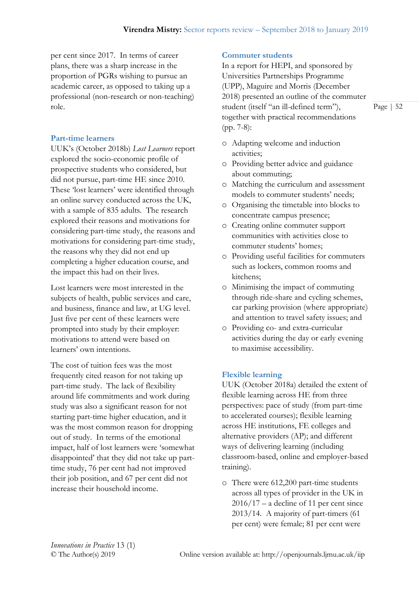per cent since 2017. In terms of career plans, there was a sharp increase in the proportion of PGRs wishing to pursue an academic career, as opposed to taking up a professional (non-research or non-teaching) role.

# **Part-time learners**

UUK's (October 2018b) *Lost Learners* report explored the socio-economic profile of prospective students who considered, but did not pursue, part-time HE since 2010. These 'lost learners' were identified through an online survey conducted across the UK, with a sample of 835 adults. The research explored their reasons and motivations for considering part-time study, the reasons and motivations for considering part-time study, the reasons why they did not end up completing a higher education course, and the impact this had on their lives.

Lost learners were most interested in the subjects of health, public services and care, and business, finance and law, at UG level. Just five per cent of these learners were prompted into study by their employer: motivations to attend were based on learners' own intentions.

The cost of tuition fees was the most frequently cited reason for not taking up part-time study. The lack of flexibility around life commitments and work during study was also a significant reason for not starting part-time higher education, and it was the most common reason for dropping out of study. In terms of the emotional impact, half of lost learners were 'somewhat disappointed' that they did not take up parttime study, 76 per cent had not improved their job position, and 67 per cent did not increase their household income.

# **Commuter students**

In a report for HEPI, and sponsored by Universities Partnerships Programme (UPP), Maguire and Morris (December 2018) presented an outline of the commuter student (itself "an ill-defined term"), together with practical recommendations (pp. 7-8):

- o Adapting welcome and induction activities;
- o Providing better advice and guidance about commuting;
- o Matching the curriculum and assessment models to commuter students' needs;
- o Organising the timetable into blocks to concentrate campus presence;
- o Creating online commuter support communities with activities close to commuter students' homes;
- o Providing useful facilities for commuters such as lockers, common rooms and kitchens;
- o Minimising the impact of commuting through ride-share and cycling schemes, car parking provision (where appropriate) and attention to travel safety issues; and
- o Providing co- and extra-curricular activities during the day or early evening to maximise accessibility.

# **Flexible learning**

UUK (October 2018a) detailed the extent of flexible learning across HE from three perspectives: pace of study (from part-time to accelerated courses); flexible learning across HE institutions, FE colleges and alternative providers (AP); and different ways of delivering learning (including classroom-based, online and employer-based training).

o There were 612,200 part-time students across all types of provider in the UK in  $2016/17$  – a decline of 11 per cent since 2013/14. A majority of part-timers (61 per cent) were female; 81 per cent were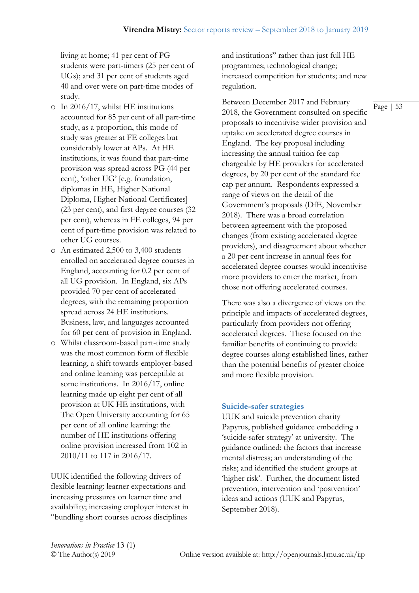living at home; 41 per cent of PG students were part-timers (25 per cent of UGs); and 31 per cent of students aged 40 and over were on part-time modes of study.

- o In 2016/17, whilst HE institutions accounted for 85 per cent of all part-time study, as a proportion, this mode of study was greater at FE colleges but considerably lower at APs. At HE institutions, it was found that part-time provision was spread across PG (44 per cent), 'other UG' [e.g. foundation, diplomas in HE, Higher National Diploma, Higher National Certificates] (23 per cent), and first degree courses (32 per cent), whereas in FE colleges, 94 per cent of part-time provision was related to other UG courses.
- o An estimated 2,500 to 3,400 students enrolled on accelerated degree courses in England, accounting for 0.2 per cent of all UG provision. In England, six APs provided 70 per cent of accelerated degrees, with the remaining proportion spread across 24 HE institutions. Business, law, and languages accounted for 60 per cent of provision in England.
- o Whilst classroom-based part-time study was the most common form of flexible learning, a shift towards employer-based and online learning was perceptible at some institutions. In 2016/17, online learning made up eight per cent of all provision at UK HE institutions, with The Open University accounting for 65 per cent of all online learning: the number of HE institutions offering online provision increased from 102 in 2010/11 to 117 in 2016/17.

UUK identified the following drivers of flexible learning: learner expectations and increasing pressures on learner time and availability; increasing employer interest in "bundling short courses across disciplines

and institutions" rather than just full HE programmes; technological change; increased competition for students; and new regulation.

Between December 2017 and February 2018, the Government consulted on specific proposals to incentivise wider provision and uptake on accelerated degree courses in England. The key proposal including increasing the annual tuition fee cap chargeable by HE providers for accelerated degrees, by 20 per cent of the standard fee cap per annum. Respondents expressed a range of views on the detail of the Government's proposals (DfE, November 2018). There was a broad correlation between agreement with the proposed changes (from existing accelerated degree providers), and disagreement about whether a 20 per cent increase in annual fees for accelerated degree courses would incentivise more providers to enter the market, from those not offering accelerated courses.

There was also a divergence of views on the principle and impacts of accelerated degrees, particularly from providers not offering accelerated degrees. These focused on the familiar benefits of continuing to provide degree courses along established lines, rather than the potential benefits of greater choice and more flexible provision.

#### **Suicide-safer strategies**

UUK and suicide prevention charity Papyrus, published guidance embedding a 'suicide-safer strategy' at university. The guidance outlined: the factors that increase mental distress; an understanding of the risks; and identified the student groups at 'higher risk'. Further, the document listed prevention, intervention and 'postvention' ideas and actions (UUK and Papyrus, September 2018).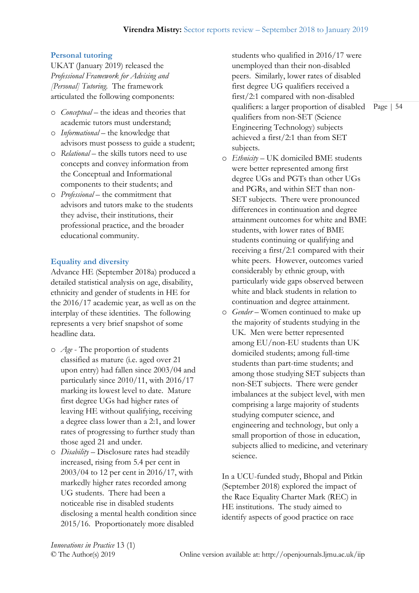# **Personal tutoring**

UKAT (January 2019) released the *Professional Framework for Advising and [Personal] Tutoring.* The framework articulated the following components:

- o *Conceptual* the ideas and theories that academic tutors must understand;
- o *Informational* the knowledge that advisors must possess to guide a student;
- o *Relational* the skills tutors need to use concepts and convey information from the Conceptual and Informational components to their students; and
- o *Professional* the commitment that advisors and tutors make to the students they advise, their institutions, their professional practice, and the broader educational community.

# **Equality and diversity**

Advance HE (September 2018a) produced a detailed statistical analysis on age, disability, ethnicity and gender of students in HE for the 2016/17 academic year, as well as on the interplay of these identities. The following represents a very brief snapshot of some headline data.

- o *Age* The proportion of students classified as mature (i.e. aged over 21 upon entry) had fallen since 2003/04 and particularly since 2010/11, with 2016/17 marking its lowest level to date. Mature first degree UGs had higher rates of leaving HE without qualifying, receiving a degree class lower than a 2:1, and lower rates of progressing to further study than those aged 21 and under.
- o *Disability* Disclosure rates had steadily increased, rising from 5.4 per cent in 2003/04 to 12 per cent in 2016/17, with markedly higher rates recorded among UG students. There had been a noticeable rise in disabled students disclosing a mental health condition since 2015/16. Proportionately more disabled

students who qualified in 2016/17 were unemployed than their non-disabled peers. Similarly, lower rates of disabled first degree UG qualifiers received a first/2:1 compared with non-disabled qualifiers: a larger proportion of disabled qualifiers from non-SET (Science Engineering Technology) subjects achieved a first/2:1 than from SET subjects.

- o *Ethnicity* UK domiciled BME students were better represented among first degree UGs and PGTs than other UGs and PGRs, and within SET than non-SET subjects. There were pronounced differences in continuation and degree attainment outcomes for white and BME students, with lower rates of BME students continuing or qualifying and receiving a first/2:1 compared with their white peers. However, outcomes varied considerably by ethnic group, with particularly wide gaps observed between white and black students in relation to continuation and degree attainment.
- o *Gender* Women continued to make up the majority of students studying in the UK. Men were better represented among EU/non-EU students than UK domiciled students; among full-time students than part-time students; and among those studying SET subjects than non-SET subjects. There were gender imbalances at the subject level, with men comprising a large majority of students studying computer science, and engineering and technology, but only a small proportion of those in education, subjects allied to medicine, and veterinary science.

In a UCU-funded study, Bhopal and Pitkin (September 2018) explored the impact of the Race Equality Charter Mark (REC) in HE institutions. The study aimed to identify aspects of good practice on race

*Innovations in Practice* 13 (1)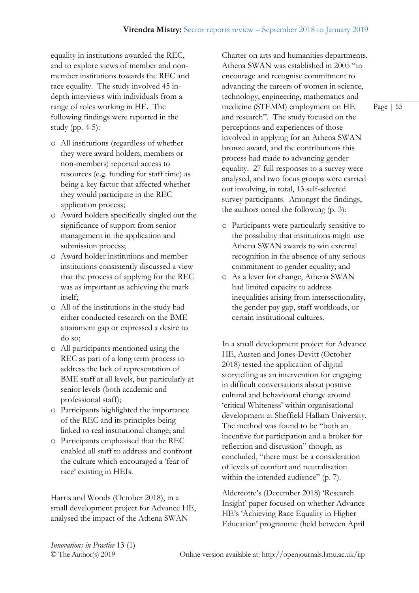equality in institutions awarded the REC, and to explore views of member and nonmember institutions towards the REC and race equality. The study involved 45 indepth interviews with individuals from a range of roles working in HE. The following findings were reported in the study (pp. 4-5):

- o All institutions (regardless of whether they were award holders, members or non-members) reported access to resources (e.g. funding for staff time) as being a key factor that affected whether they would participate in the REC application process;
- o Award holders specifically singled out the significance of support from senior management in the application and submission process;
- o Award holder institutions and member institutions consistently discussed a view that the process of applying for the REC was as important as achieving the mark itself;
- o All of the institutions in the study had either conducted research on the BME attainment gap or expressed a desire to do so;
- o All participants mentioned using the REC as part of a long term process to address the lack of representation of BME staff at all levels, but particularly at senior levels (both academic and professional staff);
- o Participants highlighted the importance of the REC and its principles being linked to real institutional change; and
- o Participants emphasised that the REC enabled all staff to address and confront the culture which encouraged a 'fear of race' existing in HEIs.

Harris and Woods (October 2018), in a small development project for Advance HE, analysed the impact of the Athena SWAN

Charter on arts and humanities departments. Athena SWAN was established in 2005 "to encourage and recognise commitment to advancing the careers of women in science, technology, engineering, mathematics and medicine (STEMM) employment on HE and research". The study focused on the perceptions and experiences of those involved in applying for an Athena SWAN bronze award, and the contributions this process had made to advancing gender equality. 27 full responses to a survey were analysed, and two focus groups were carried out involving, in total, 13 self-selected survey participants. Amongst the findings, the authors noted the following (p. 3):

- o Participants were particularly sensitive to the possibility that institutions might use Athena SWAN awards to win external recognition in the absence of any serious commitment to gender equality; and
- o As a lever for change, Athena SWAN had limited capacity to address inequalities arising from intersectionality, the gender pay gap, staff workloads, or certain institutional cultures.

In a small development project for Advance HE, Austen and Jones-Devitt (October 2018) tested the application of digital storytelling as an intervention for engaging in difficult conversations about positive cultural and behavioural change around 'critical Whiteness' within organisational development at Sheffield Hallam University. The method was found to be "both an incentive for participation and a broker for reflection and discussion" though, as concluded, "there must be a consideration of levels of comfort and neutralisation within the intended audience" (p. 7).

Aldercotte's (December 2018) 'Research Insight' paper focused on whether Advance HE's 'Achieving Race Equality in Higher Education' programme (held between April

*Innovations in Practice* 13 (1)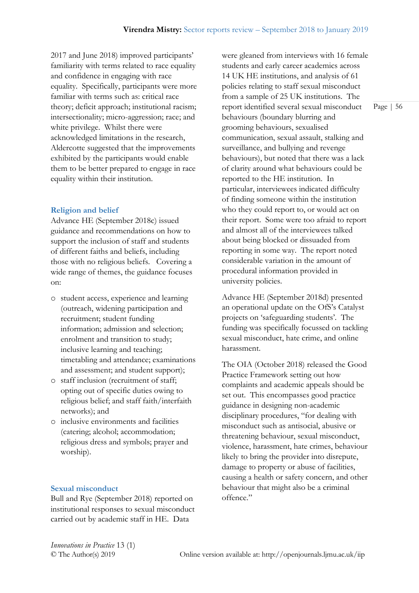2017 and June 2018) improved participants' familiarity with terms related to race equality and confidence in engaging with race equality. Specifically, participants were more familiar with terms such as: critical race theory; deficit approach; institutional racism; intersectionality; micro-aggression; race; and white privilege. Whilst there were acknowledged limitations in the research, Aldercotte suggested that the improvements exhibited by the participants would enable them to be better prepared to engage in race equality within their institution.

# **Religion and belief**

Advance HE (September 2018c) issued guidance and recommendations on how to support the inclusion of staff and students of different faiths and beliefs, including those with no religious beliefs. Covering a wide range of themes, the guidance focuses on:

- o student access, experience and learning (outreach, widening participation and recruitment; student funding information; admission and selection; enrolment and transition to study; inclusive learning and teaching; timetabling and attendance; examinations and assessment; and student support);
- o staff inclusion (recruitment of staff; opting out of specific duties owing to religious belief; and staff faith/interfaith networks); and
- o inclusive environments and facilities (catering; alcohol; accommodation; religious dress and symbols; prayer and worship).

#### **Sexual misconduct**

Bull and Rye (September 2018) reported on institutional responses to sexual misconduct carried out by academic staff in HE. Data

were gleaned from interviews with 16 female students and early career academics across 14 UK HE institutions, and analysis of 61 policies relating to staff sexual misconduct from a sample of 25 UK institutions. The report identified several sexual misconduct behaviours (boundary blurring and grooming behaviours, sexualised communication, sexual assault, stalking and surveillance, and bullying and revenge behaviours), but noted that there was a lack of clarity around what behaviours could be reported to the HE institution. In particular, interviewees indicated difficulty of finding someone within the institution who they could report to, or would act on their report. Some were too afraid to report and almost all of the interviewees talked about being blocked or dissuaded from reporting in some way. The report noted considerable variation in the amount of procedural information provided in university policies.

Advance HE (September 2018d) presented an operational update on the OfS's Catalyst projects on 'safeguarding students'. The funding was specifically focussed on tackling sexual misconduct, hate crime, and online harassment.

The OIA (October 2018) released the Good Practice Framework setting out how complaints and academic appeals should be set out. This encompasses good practice guidance in designing non-academic disciplinary procedures, "for dealing with misconduct such as antisocial, abusive or threatening behaviour, sexual misconduct, violence, harassment, hate crimes, behaviour likely to bring the provider into disrepute, damage to property or abuse of facilities, causing a health or safety concern, and other behaviour that might also be a criminal offence."

*Innovations in Practice* 13 (1)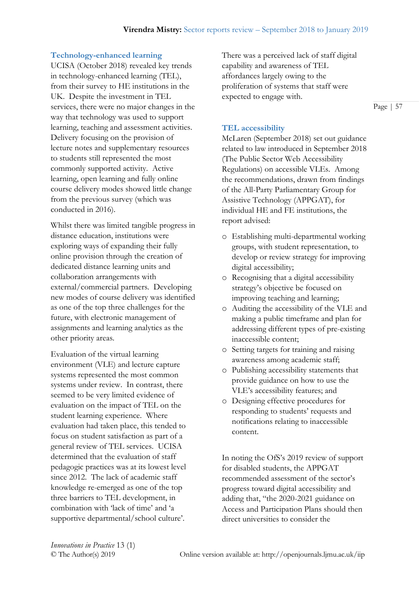# **Technology-enhanced learning**

UCISA (October 2018) revealed key trends in technology-enhanced learning (TEL), from their survey to HE institutions in the UK. Despite the investment in TEL services, there were no major changes in the way that technology was used to support learning, teaching and assessment activities. Delivery focusing on the provision of lecture notes and supplementary resources to students still represented the most commonly supported activity. Active learning, open learning and fully online course delivery modes showed little change from the previous survey (which was conducted in 2016).

Whilst there was limited tangible progress in distance education, institutions were exploring ways of expanding their fully online provision through the creation of dedicated distance learning units and collaboration arrangements with external/commercial partners. Developing new modes of course delivery was identified as one of the top three challenges for the future, with electronic management of assignments and learning analytics as the other priority areas.

Evaluation of the virtual learning environment (VLE) and lecture capture systems represented the most common systems under review. In contrast, there seemed to be very limited evidence of evaluation on the impact of TEL on the student learning experience. Where evaluation had taken place, this tended to focus on student satisfaction as part of a general review of TEL services. UCISA determined that the evaluation of staff pedagogic practices was at its lowest level since 2012. The lack of academic staff knowledge re-emerged as one of the top three barriers to TEL development, in combination with 'lack of time' and 'a supportive departmental/school culture'.

There was a perceived lack of staff digital capability and awareness of TEL affordances largely owing to the proliferation of systems that staff were expected to engage with.

Page | 57

# **TEL accessibility**

McLaren (September 2018) set out guidance related to law introduced in September 2018 (The Public Sector Web Accessibility Regulations) on accessible VLEs. Among the recommendations, drawn from findings of the All-Party Parliamentary Group for Assistive Technology (APPGAT), for individual HE and FE institutions, the report advised:

- o Establishing multi-departmental working groups, with student representation, to develop or review strategy for improving digital accessibility;
- o Recognising that a digital accessibility strategy's objective be focused on improving teaching and learning;
- o Auditing the accessibility of the VLE and making a public timeframe and plan for addressing different types of pre-existing inaccessible content;
- o Setting targets for training and raising awareness among academic staff;
- o Publishing accessibility statements that provide guidance on how to use the VLE's accessibility features; and
- o Designing effective procedures for responding to students' requests and notifications relating to inaccessible content.

In noting the OfS's 2019 review of support for disabled students, the APPGAT recommended assessment of the sector's progress toward digital accessibility and adding that, "the 2020-2021 guidance on Access and Participation Plans should then direct universities to consider the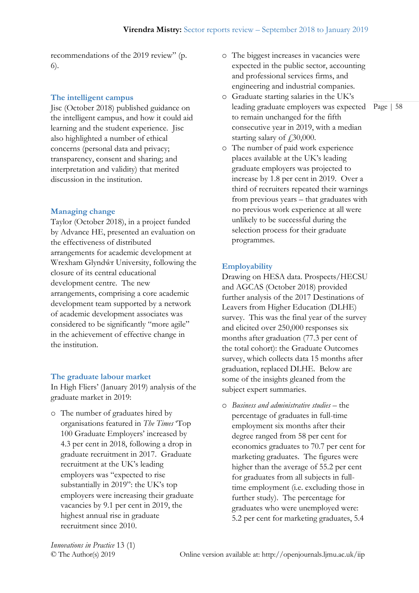recommendations of the 2019 review" (p. 6).

### **The intelligent campus**

Jisc (October 2018) published guidance on the intelligent campus, and how it could aid learning and the student experience. Jisc also highlighted a number of ethical concerns (personal data and privacy; transparency, consent and sharing; and interpretation and validity) that merited discussion in the institution.

### **Managing change**

Taylor (October 2018), in a project funded by Advance HE, presented an evaluation on the effectiveness of distributed arrangements for academic development at Wrexham Glyndŵr University, following the closure of its central educational development centre. The new arrangements, comprising a core academic development team supported by a network of academic development associates was considered to be significantly "more agile" in the achievement of effective change in the institution

#### **The graduate labour market**

In High Fliers' (January 2019) analysis of the graduate market in 2019:

o The number of graduates hired by organisations featured in *The Times* 'Top 100 Graduate Employers' increased by 4.3 per cent in 2018, following a drop in graduate recruitment in 2017. Graduate recruitment at the UK's leading employers was "expected to rise substantially in 2019": the UK's top employers were increasing their graduate vacancies by 9.1 per cent in 2019, the highest annual rise in graduate recruitment since 2010.

- o The biggest increases in vacancies were expected in the public sector, accounting and professional services firms, and engineering and industrial companies.
- leading graduate employers was expected Page | 58 o Graduate starting salaries in the UK's to remain unchanged for the fifth consecutive year in 2019, with a median starting salary of  $\text{\textsterling}30,000$ .
- o The number of paid work experience places available at the UK's leading graduate employers was projected to increase by 1.8 per cent in 2019. Over a third of recruiters repeated their warnings from previous years – that graduates with no previous work experience at all were unlikely to be successful during the selection process for their graduate programmes.

### **Employability**

Drawing on HESA data. Prospects/HECSU and AGCAS (October 2018) provided further analysis of the 2017 Destinations of Leavers from Higher Education (DLHE) survey. This was the final year of the survey and elicited over 250,000 responses six months after graduation (77.3 per cent of the total cohort): the Graduate Outcomes survey, which collects data 15 months after graduation, replaced DLHE. Below are some of the insights gleaned from the subject expert summaries.

o *Business and administrative studies* – the percentage of graduates in full-time employment six months after their degree ranged from 58 per cent for economics graduates to 70.7 per cent for marketing graduates. The figures were higher than the average of 55.2 per cent for graduates from all subjects in fulltime employment (i.e. excluding those in further study). The percentage for graduates who were unemployed were: 5.2 per cent for marketing graduates, 5.4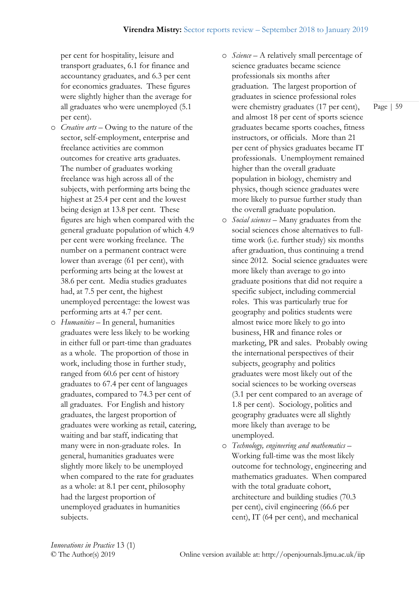per cent for hospitality, leisure and transport graduates, 6.1 for finance and accountancy graduates, and 6.3 per cent for economics graduates. These figures were slightly higher than the average for all graduates who were unemployed (5.1 per cent).

- o *Creative arts* Owing to the nature of the sector, self-employment, enterprise and freelance activities are common outcomes for creative arts graduates. The number of graduates working freelance was high across all of the subjects, with performing arts being the highest at 25.4 per cent and the lowest being design at 13.8 per cent. These figures are high when compared with the general graduate population of which 4.9 per cent were working freelance. The number on a permanent contract were lower than average (61 per cent), with performing arts being at the lowest at 38.6 per cent. Media studies graduates had, at 7.5 per cent, the highest unemployed percentage: the lowest was performing arts at 4.7 per cent.
- o *Humanities* In general, humanities graduates were less likely to be working in either full or part-time than graduates as a whole. The proportion of those in work, including those in further study, ranged from 60.6 per cent of history graduates to 67.4 per cent of languages graduates, compared to 74.3 per cent of all graduates. For English and history graduates, the largest proportion of graduates were working as retail, catering, waiting and bar staff, indicating that many were in non-graduate roles. In general, humanities graduates were slightly more likely to be unemployed when compared to the rate for graduates as a whole: at 8.1 per cent, philosophy had the largest proportion of unemployed graduates in humanities subjects.
- o *Science* A relatively small percentage of science graduates became science professionals six months after graduation. The largest proportion of graduates in science professional roles were chemistry graduates (17 per cent), and almost 18 per cent of sports science graduates became sports coaches, fitness instructors, or officials. More than 21 per cent of physics graduates became IT professionals. Unemployment remained higher than the overall graduate population in biology, chemistry and physics, though science graduates were more likely to pursue further study than the overall graduate population.
- o *Social sciences* Many graduates from the social sciences chose alternatives to fulltime work (i.e. further study) six months after graduation, thus continuing a trend since 2012. Social science graduates were more likely than average to go into graduate positions that did not require a specific subject, including commercial roles. This was particularly true for geography and politics students were almost twice more likely to go into business, HR and finance roles or marketing, PR and sales. Probably owing the international perspectives of their subjects, geography and politics graduates were most likely out of the social sciences to be working overseas (3.1 per cent compared to an average of 1.8 per cent). Sociology, politics and geography graduates were all slightly more likely than average to be unemployed.
- o *Technology, engineering and mathematics* Working full-time was the most likely outcome for technology, engineering and mathematics graduates. When compared with the total graduate cohort, architecture and building studies (70.3 per cent), civil engineering (66.6 per cent), IT (64 per cent), and mechanical

*Innovations in Practice* 13 (1)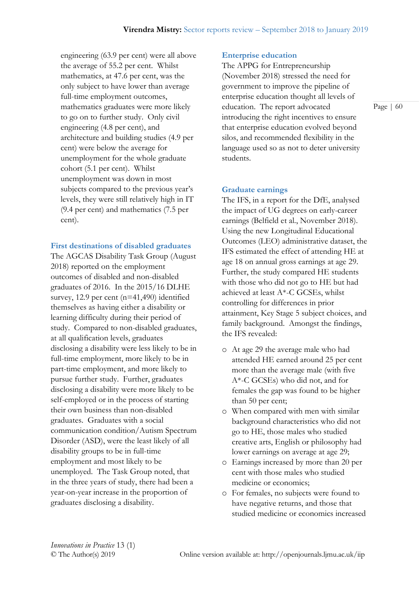engineering (63.9 per cent) were all above the average of 55.2 per cent. Whilst mathematics, at 47.6 per cent, was the only subject to have lower than average full-time employment outcomes, mathematics graduates were more likely to go on to further study. Only civil engineering (4.8 per cent), and architecture and building studies (4.9 per cent) were below the average for unemployment for the whole graduate cohort (5.1 per cent). Whilst unemployment was down in most subjects compared to the previous year's levels, they were still relatively high in IT (9.4 per cent) and mathematics (7.5 per cent).

#### **First destinations of disabled graduates**

The AGCAS Disability Task Group (August 2018) reported on the employment outcomes of disabled and non-disabled graduates of 2016. In the 2015/16 DLHE survey, 12.9 per cent (n=41,490) identified themselves as having either a disability or learning difficulty during their period of study. Compared to non-disabled graduates, at all qualification levels, graduates disclosing a disability were less likely to be in full-time employment, more likely to be in part-time employment, and more likely to pursue further study. Further, graduates disclosing a disability were more likely to be self-employed or in the process of starting their own business than non-disabled graduates. Graduates with a social communication condition/Autism Spectrum Disorder (ASD), were the least likely of all disability groups to be in full-time employment and most likely to be unemployed. The Task Group noted, that in the three years of study, there had been a year-on-year increase in the proportion of graduates disclosing a disability.

#### **Enterprise education**

The APPG for Entrepreneurship (November 2018) stressed the need for government to improve the pipeline of enterprise education thought all levels of education. The report advocated introducing the right incentives to ensure that enterprise education evolved beyond silos, and recommended flexibility in the language used so as not to deter university students.

#### **Graduate earnings**

The IFS, in a report for the DfE, analysed the impact of UG degrees on early-career earnings (Belfield et al., November 2018). Using the new Longitudinal Educational Outcomes (LEO) administrative dataset, the IFS estimated the effect of attending HE at age 18 on annual gross earnings at age 29. Further, the study compared HE students with those who did not go to HE but had achieved at least  $A^*$ -C GCSEs, whilst controlling for differences in prior attainment, Key Stage 5 subject choices, and family background. Amongst the findings, the IFS revealed:

- o At age 29 the average male who had attended HE earned around 25 per cent more than the average male (with five A\*-C GCSEs) who did not, and for females the gap was found to be higher than 50 per cent;
- o When compared with men with similar background characteristics who did not go to HE, those males who studied creative arts, English or philosophy had lower earnings on average at age 29;
- o Earnings increased by more than 20 per cent with those males who studied medicine or economics;
- o For females, no subjects were found to have negative returns, and those that studied medicine or economics increased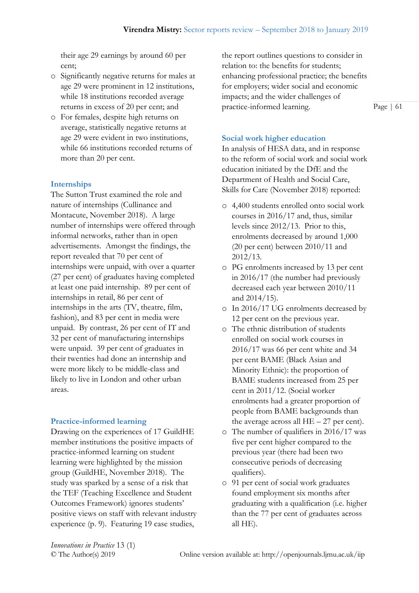their age 29 earnings by around 60 per cent;

- o Significantly negative returns for males at age 29 were prominent in 12 institutions, while 18 institutions recorded average returns in excess of 20 per cent; and
- o For females, despite high returns on average, statistically negative returns at age 29 were evident in two institutions, while 66 institutions recorded returns of more than 20 per cent.

# **Internships**

The Sutton Trust examined the role and nature of internships (Cullinance and Montacute, November 2018). A large number of internships were offered through informal networks, rather than in open advertisements. Amongst the findings, the report revealed that 70 per cent of internships were unpaid, with over a quarter (27 per cent) of graduates having completed at least one paid internship. 89 per cent of internships in retail, 86 per cent of internships in the arts (TV, theatre, film, fashion), and 83 per cent in media were unpaid. By contrast, 26 per cent of IT and 32 per cent of manufacturing internships were unpaid. 39 per cent of graduates in their twenties had done an internship and were more likely to be middle-class and likely to live in London and other urban areas.

# **Practice-informed learning**

Drawing on the experiences of 17 GuildHE member institutions the positive impacts of practice-informed learning on student learning were highlighted by the mission group (GuildHE, November 2018). The study was sparked by a sense of a risk that the TEF (Teaching Excellence and Student Outcomes Framework) ignores students' positive views on staff with relevant industry experience (p. 9). Featuring 19 case studies,

the report outlines questions to consider in relation to: the benefits for students; enhancing professional practice; the benefits for employers; wider social and economic impacts; and the wider challenges of practice-informed learning.

Page | 61

# **Social work higher education**

In analysis of HESA data, and in response to the reform of social work and social work education initiated by the DfE and the Department of Health and Social Care, Skills for Care (November 2018) reported:

- o 4,400 students enrolled onto social work courses in 2016/17 and, thus, similar levels since 2012/13. Prior to this, enrolments decreased by around 1,000 (20 per cent) between 2010/11 and 2012/13.
- o PG enrolments increased by 13 per cent in 2016/17 (the number had previously decreased each year between 2010/11 and 2014/15).
- o In 2016/17 UG enrolments decreased by 12 per cent on the previous year.
- o The ethnic distribution of students enrolled on social work courses in 2016/17 was 66 per cent white and 34 per cent BAME (Black Asian and Minority Ethnic): the proportion of BAME students increased from 25 per cent in 2011/12. (Social worker enrolments had a greater proportion of people from BAME backgrounds than the average across all  $HE - 27$  per cent).
- o The number of qualifiers in 2016/17 was five per cent higher compared to the previous year (there had been two consecutive periods of decreasing qualifiers).
- o 91 per cent of social work graduates found employment six months after graduating with a qualification (i.e. higher than the 77 per cent of graduates across all HE).

*Innovations in Practice* 13 (1)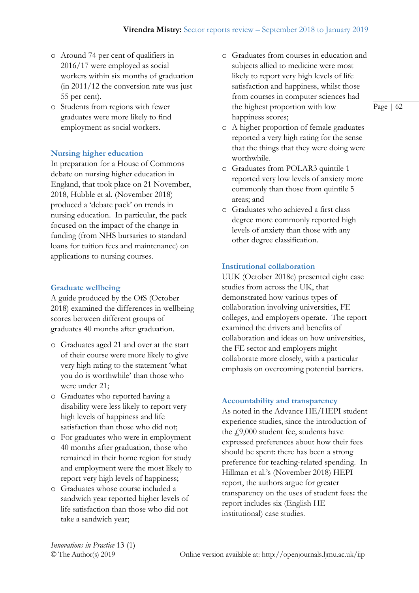- o Around 74 per cent of qualifiers in 2016/17 were employed as social workers within six months of graduation (in 2011/12 the conversion rate was just 55 per cent).
- o Students from regions with fewer graduates were more likely to find employment as social workers.

# **Nursing higher education**

In preparation for a House of Commons debate on nursing higher education in England, that took place on 21 November, 2018, Hubble et al. (November 2018) produced a 'debate pack' on trends in nursing education. In particular, the pack focused on the impact of the change in funding (from NHS bursaries to standard loans for tuition fees and maintenance) on applications to nursing courses.

#### **Graduate wellbeing**

A guide produced by the OfS (October 2018) examined the differences in wellbeing scores between different groups of graduates 40 months after graduation.

- o Graduates aged 21 and over at the start of their course were more likely to give very high rating to the statement 'what you do is worthwhile' than those who were under 21;
- o Graduates who reported having a disability were less likely to report very high levels of happiness and life satisfaction than those who did not;
- o For graduates who were in employment 40 months after graduation, those who remained in their home region for study and employment were the most likely to report very high levels of happiness;
- o Graduates whose course included a sandwich year reported higher levels of life satisfaction than those who did not take a sandwich year;
- o Graduates from courses in education and subjects allied to medicine were most likely to report very high levels of life satisfaction and happiness, whilst those from courses in computer sciences had the highest proportion with low happiness scores;
- o A higher proportion of female graduates reported a very high rating for the sense that the things that they were doing were worthwhile.
- o Graduates from POLAR3 quintile 1 reported very low levels of anxiety more commonly than those from quintile 5 areas; and
- o Graduates who achieved a first class degree more commonly reported high levels of anxiety than those with any other degree classification.

# **Institutional collaboration**

UUK (October 2018c) presented eight case studies from across the UK, that demonstrated how various types of collaboration involving universities, FE colleges, and employers operate. The report examined the drivers and benefits of collaboration and ideas on how universities, the FE sector and employers might collaborate more closely, with a particular emphasis on overcoming potential barriers.

#### **Accountability and transparency**

As noted in the Advance HE/HEPI student experience studies, since the introduction of the  $f$ 9,000 student fee, students have expressed preferences about how their fees should be spent: there has been a strong preference for teaching-related spending. In Hillman et al.'s (November 2018) HEPI report, the authors argue for greater transparency on the uses of student fees**:** the report includes six (English HE institutional) case studies.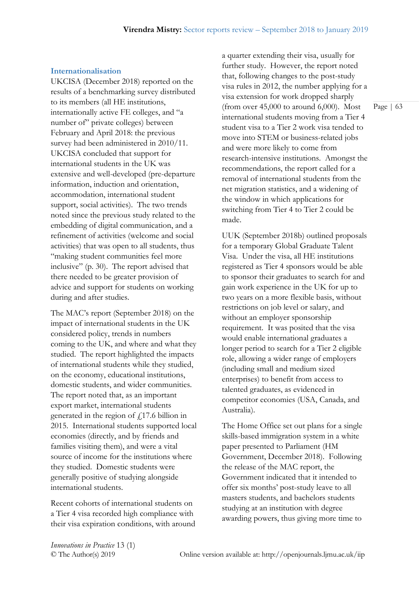#### **Internationalisation**

UKCISA (December 2018) reported on the results of a benchmarking survey distributed to its members (all HE institutions, internationally active FE colleges, and "a number of" private colleges) between February and April 2018: the previous survey had been administered in 2010/11. UKCISA concluded that support for international students in the UK was extensive and well-developed (pre-departure information, induction and orientation, accommodation, international student support, social activities). The two trends noted since the previous study related to the embedding of digital communication, and a refinement of activities (welcome and social activities) that was open to all students, thus "making student communities feel more inclusive" (p. 30). The report advised that there needed to be greater provision of advice and support for students on working during and after studies.

The MAC's report (September 2018) on the impact of international students in the UK considered policy, trends in numbers coming to the UK, and where and what they studied. The report highlighted the impacts of international students while they studied, on the economy, educational institutions, domestic students, and wider communities. The report noted that, as an important export market, international students generated in the region of  $f$ 17.6 billion in 2015. International students supported local economies (directly, and by friends and families visiting them), and were a vital source of income for the institutions where they studied. Domestic students were generally positive of studying alongside international students.

Recent cohorts of international students on a Tier 4 visa recorded high compliance with their visa expiration conditions, with around a quarter extending their visa, usually for further study. However, the report noted that, following changes to the post-study visa rules in 2012, the number applying for a visa extension for work dropped sharply (from over 45,000 to around 6,000). Most international students moving from a Tier 4 student visa to a Tier 2 work visa tended to move into STEM or business-related jobs and were more likely to come from research-intensive institutions. Amongst the recommendations, the report called for a removal of international students from the net migration statistics, and a widening of the window in which applications for switching from Tier 4 to Tier 2 could be made.

UUK (September 2018b) outlined proposals for a temporary Global Graduate Talent Visa. Under the visa, all HE institutions registered as Tier 4 sponsors would be able to sponsor their graduates to search for and gain work experience in the UK for up to two years on a more flexible basis, without restrictions on job level or salary, and without an employer sponsorship requirement. It was posited that the visa would enable international graduates a longer period to search for a Tier 2 eligible role, allowing a wider range of employers (including small and medium sized enterprises) to benefit from access to talented graduates, as evidenced in competitor economies (USA, Canada, and Australia).

The Home Office set out plans for a single skills-based immigration system in a white paper presented to Parliament (HM Government, December 2018). Following the release of the MAC report, the Government indicated that it intended to offer six months' post-study leave to all masters students, and bachelors students studying at an institution with degree awarding powers, thus giving more time to

*Innovations in Practice* 13 (1)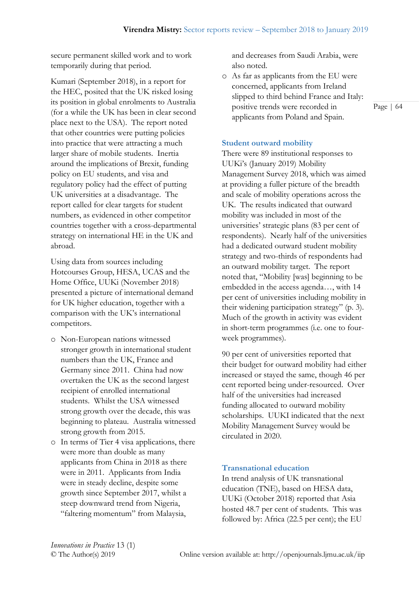secure permanent skilled work and to work temporarily during that period.

Kumari (September 2018), in a report for the HEC, posited that the UK risked losing its position in global enrolments to Australia (for a while the UK has been in clear second place next to the USA). The report noted that other countries were putting policies into practice that were attracting a much larger share of mobile students. Inertia around the implications of Brexit, funding policy on EU students, and visa and regulatory policy had the effect of putting UK universities at a disadvantage. The report called for clear targets for student numbers, as evidenced in other competitor countries together with a cross-departmental strategy on international HE in the UK and abroad.

Using data from sources including Hotcourses Group, HESA, UCAS and the Home Office, UUKi (November 2018) presented a picture of international demand for UK higher education, together with a comparison with the UK's international competitors.

- o Non-European nations witnessed stronger growth in international student numbers than the UK, France and Germany since 2011. China had now overtaken the UK as the second largest recipient of enrolled international students. Whilst the USA witnessed strong growth over the decade, this was beginning to plateau. Australia witnessed strong growth from 2015.
- o In terms of Tier 4 visa applications, there were more than double as many applicants from China in 2018 as there were in 2011. Applicants from India were in steady decline, despite some growth since September 2017, whilst a steep downward trend from Nigeria, "faltering momentum" from Malaysia,

and decreases from Saudi Arabia, were also noted.

o As far as applicants from the EU were concerned, applicants from Ireland slipped to third behind France and Italy: positive trends were recorded in applicants from Poland and Spain.

# **Student outward mobility**

There were 89 institutional responses to UUKi's (January 2019) Mobility Management Survey 2018, which was aimed at providing a fuller picture of the breadth and scale of mobility operations across the UK. The results indicated that outward mobility was included in most of the universities' strategic plans (83 per cent of respondents). Nearly half of the universities had a dedicated outward student mobility strategy and two-thirds of respondents had an outward mobility target. The report noted that, "Mobility [was] beginning to be embedded in the access agenda…, with 14 per cent of universities including mobility in their widening participation strategy" (p. 3). Much of the growth in activity was evident in short-term programmes (i.e. one to fourweek programmes).

90 per cent of universities reported that their budget for outward mobility had either increased or stayed the same, though 46 per cent reported being under-resourced. Over half of the universities had increased funding allocated to outward mobility scholarships. UUKI indicated that the next Mobility Management Survey would be circulated in 2020.

# **Transnational education**

In trend analysis of UK transnational education (TNE), based on HESA data, UUKi (October 2018) reported that Asia hosted 48.7 per cent of students. This was followed by: Africa (22.5 per cent); the EU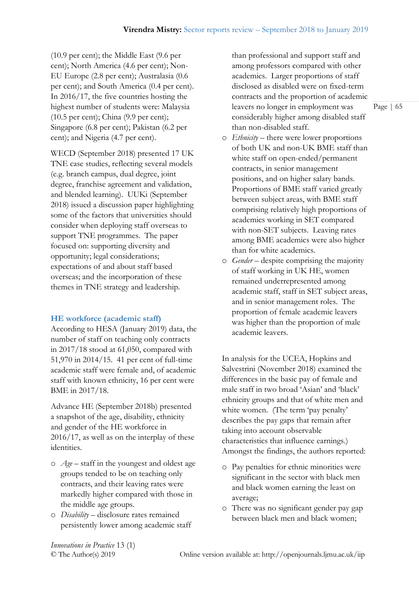(10.9 per cent); the Middle East (9.6 per cent); North America (4.6 per cent); Non-EU Europe (2.8 per cent); Australasia (0.6 per cent); and South America (0.4 per cent). In 2016/17, the five countries hosting the highest number of students were: Malaysia (10.5 per cent); China (9.9 per cent); Singapore (6.8 per cent); Pakistan (6.2 per cent); and Nigeria (4.7 per cent).

WECD (September 2018) presented 17 UK TNE case studies, reflecting several models (e.g. branch campus, dual degree, joint degree, franchise agreement and validation, and blended learning). UUKi (September 2018) issued a discussion paper highlighting some of the factors that universities should consider when deploying staff overseas to support TNE programmes. The paper focused on: supporting diversity and opportunity; legal considerations; expectations of and about staff based overseas; and the incorporation of these themes in TNE strategy and leadership.

#### **HE workforce (academic staff)**

According to HESA (January 2019) data, the number of staff on teaching only contracts in 2017/18 stood at 61,050, compared with 51,970 in 2014/15. 41 per cent of full-time academic staff were female and, of academic staff with known ethnicity, 16 per cent were BME in 2017/18.

Advance HE (September 2018b) presented a snapshot of the age, disability, ethnicity and gender of the HE workforce in 2016/17, as well as on the interplay of these identities.

- o *Age* staff in the youngest and oldest age groups tended to be on teaching only contracts, and their leaving rates were markedly higher compared with those in the middle age groups.
- o *Disability* disclosure rates remained persistently lower among academic staff

than professional and support staff and among professors compared with other academics. Larger proportions of staff disclosed as disabled were on fixed-term contracts and the proportion of academic leavers no longer in employment was considerably higher among disabled staff than non-disabled staff.

- o *Ethnicity* there were lower proportions of both UK and non-UK BME staff than white staff on open-ended/permanent contracts, in senior management positions, and on higher salary bands. Proportions of BME staff varied greatly between subject areas, with BME staff comprising relatively high proportions of academics working in SET compared with non-SET subjects. Leaving rates among BME academics were also higher than for white academics.
- o *Gender* despite comprising the majority of staff working in UK HE, women remained underrepresented among academic staff, staff in SET subject areas, and in senior management roles. The proportion of female academic leavers was higher than the proportion of male academic leavers.

In analysis for the UCEA, Hopkins and Salvestrini (November 2018) examined the differences in the basic pay of female and male staff in two broad 'Asian' and 'black' ethnicity groups and that of white men and white women. (The term 'pay penalty' describes the pay gaps that remain after taking into account observable characteristics that influence earnings.) Amongst the findings, the authors reported:

- o Pay penalties for ethnic minorities were significant in the sector with black men and black women earning the least on average;
- o There was no significant gender pay gap between black men and black women;

*Innovations in Practice* 13 (1)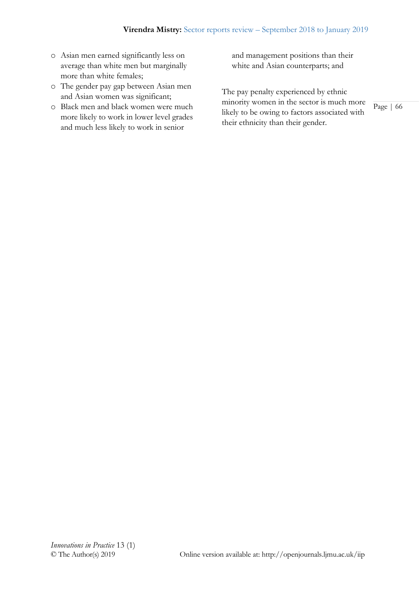- o Asian men earned significantly less on average than white men but marginally more than white females;
- o The gender pay gap between Asian men and Asian women was significant;
- o Black men and black women were much more likely to work in lower level grades and much less likely to work in senior

and management positions than their white and Asian counterparts; and

The pay penalty experienced by ethnic minority women in the sector is much more likely to be owing to factors associated with their ethnicity than their gender.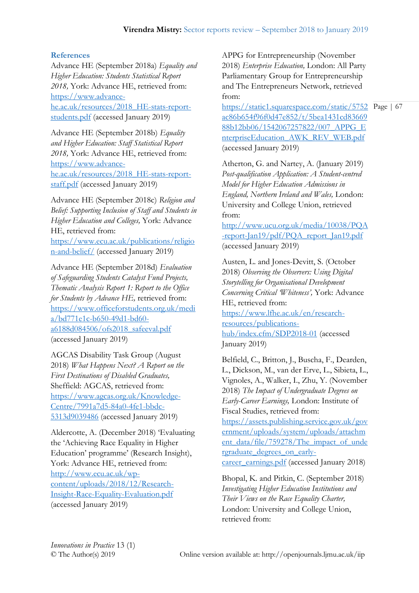# **References**

Advance HE (September 2018a) *Equality and Higher Education: Students Statistical Report 2018,* York: Advance HE, retrieved from: [https://www.advance](https://www.advance-he.ac.uk/resources/2018_HE-stats-report-students.pdf)[he.ac.uk/resources/2018\\_HE-stats-report](https://www.advance-he.ac.uk/resources/2018_HE-stats-report-students.pdf)[students.pdf](https://www.advance-he.ac.uk/resources/2018_HE-stats-report-students.pdf) (accessed January 2019)

Advance HE (September 2018b) *Equality and Higher Education: Staff Statistical Report 2018,* York: Advance HE, retrieved from: [https://www.advance](https://www.advance-he.ac.uk/resources/2018_HE-stats-report-staff.pdf)[he.ac.uk/resources/2018\\_HE-stats-report](https://www.advance-he.ac.uk/resources/2018_HE-stats-report-staff.pdf)[staff.pdf](https://www.advance-he.ac.uk/resources/2018_HE-stats-report-staff.pdf) (accessed January 2019)

Advance HE (September 2018c) *Religion and Belief: Supporting Inclusion of Staff and Students in Higher Education and Colleges,* York: Advance HE, retrieved from:

[https://www.ecu.ac.uk/publications/religio](https://www.ecu.ac.uk/publications/religion-and-belief/) [n-and-belief/](https://www.ecu.ac.uk/publications/religion-and-belief/) (accessed January 2019)

Advance HE (September 2018d) *Evaluation of Safeguarding Students Catalyst Fund Projects, Thematic Analysis Report 1: Report to the Office for Students by Advance HE,* retrieved from: [https://www.officeforstudents.org.uk/medi](https://www.officeforstudents.org.uk/media/bd771e1c-b650-49d1-bd60-a6188d084506/ofs2018_safeeval.pdf) [a/bd771e1c-b650-49d1-bd60](https://www.officeforstudents.org.uk/media/bd771e1c-b650-49d1-bd60-a6188d084506/ofs2018_safeeval.pdf) [a6188d084506/ofs2018\\_safeeval.pdf](https://www.officeforstudents.org.uk/media/bd771e1c-b650-49d1-bd60-a6188d084506/ofs2018_safeeval.pdf) (accessed January 2019)

AGCAS Disability Task Group (August 2018) *What Happens Next? A Report on the First Destinations of Disabled Graduates,*  Sheffield: AGCAS, retrieved from: [https://www.agcas.org.uk/Knowledge-](https://www.agcas.org.uk/Knowledge-Centre/7991a7d5-84a0-4fe1-bbdc-5313d9039486)[Centre/7991a7d5-84a0-4fe1-bbdc-](https://www.agcas.org.uk/Knowledge-Centre/7991a7d5-84a0-4fe1-bbdc-5313d9039486)[5313d9039486](https://www.agcas.org.uk/Knowledge-Centre/7991a7d5-84a0-4fe1-bbdc-5313d9039486) (accessed January 2019)

Aldercotte, A. (December 2018) 'Evaluating the 'Achieving Race Equality in Higher Education' programme' (Research Insight), York: Advance HE, retrieved from: [http://www.ecu.ac.uk/wp](http://www.ecu.ac.uk/wp-content/uploads/2018/12/Research-Insight-Race-Equality-Evaluation.pdf)[content/uploads/2018/12/Research-](http://www.ecu.ac.uk/wp-content/uploads/2018/12/Research-Insight-Race-Equality-Evaluation.pdf)[Insight-Race-Equality-Evaluation.pdf](http://www.ecu.ac.uk/wp-content/uploads/2018/12/Research-Insight-Race-Equality-Evaluation.pdf) (accessed January 2019)

APPG for Entrepreneurship (November 2018) *Enterprise Education,* London: All Party Parliamentary Group for Entrepreneurship and The Entrepreneurs Network, retrieved from:

[https://static1.squarespace.com/static/5752](https://static1.squarespace.com/static/5752ac86b654f96f0d47e852/t/5bea1431cd8366988b12bb06/1542067257822/007_APPG_EnterpriseEducation_AWK_REV_WEB.pdf) Page | 67 [ac86b654f96f0d47e852/t/5bea1431cd83669](https://static1.squarespace.com/static/5752ac86b654f96f0d47e852/t/5bea1431cd8366988b12bb06/1542067257822/007_APPG_EnterpriseEducation_AWK_REV_WEB.pdf) [88b12bb06/1542067257822/007\\_APPG\\_E](https://static1.squarespace.com/static/5752ac86b654f96f0d47e852/t/5bea1431cd8366988b12bb06/1542067257822/007_APPG_EnterpriseEducation_AWK_REV_WEB.pdf) [nterpriseEducation\\_AWK\\_REV\\_WEB.pdf](https://static1.squarespace.com/static/5752ac86b654f96f0d47e852/t/5bea1431cd8366988b12bb06/1542067257822/007_APPG_EnterpriseEducation_AWK_REV_WEB.pdf) (accessed January 2019)

Atherton, G. and Nartey, A. (January 2019) *Post-qualification Application: A Student-centred Model for Higher Education Admissions in England, Northern Ireland and Wales,* London: University and College Union, retrieved from:

[http://www.ucu.org.uk/media/10038/PQA](http://www.ucu.org.uk/media/10038/PQA-report-Jan19/pdf/PQA_report_Jan19.pdf) [-report-Jan19/pdf/PQA\\_report\\_Jan19.pdf](http://www.ucu.org.uk/media/10038/PQA-report-Jan19/pdf/PQA_report_Jan19.pdf) (accessed January 2019)

Austen, L. and Jones-Devitt, S. (October 2018) *Observing the Observers: Using Digital Storytelling for Organisational Development Concerning Critical 'Whiteness',* York: Advance HE, retrieved from:

[https://www.lfhe.ac.uk/en/research](https://www.lfhe.ac.uk/en/research-resources/publications-hub/index.cfm/SDP2018-01)[resources/publications](https://www.lfhe.ac.uk/en/research-resources/publications-hub/index.cfm/SDP2018-01)[hub/index.cfm/SDP2018-01](https://www.lfhe.ac.uk/en/research-resources/publications-hub/index.cfm/SDP2018-01) (accessed January 2019)

Belfield, C., Britton, J., Buscha, F., Dearden, L., Dickson, M., van der Erve, L., Sibieta, L., Vignoles, A., Walker, I., Zhu, Y. (November 2018) *The Impact of Undergraduate Degrees on Early-Career Earnings,* London: Institute of Fiscal Studies, retrieved from:

[https://assets.publishing.service.gov.uk/gov](https://assets.publishing.service.gov.uk/government/uploads/system/uploads/attachment_data/file/759278/The_impact_of_undergraduate_degrees_on_early-career_earnings.pdf) [ernment/uploads/system/uploads/attachm](https://assets.publishing.service.gov.uk/government/uploads/system/uploads/attachment_data/file/759278/The_impact_of_undergraduate_degrees_on_early-career_earnings.pdf) [ent\\_data/file/759278/The\\_impact\\_of\\_unde](https://assets.publishing.service.gov.uk/government/uploads/system/uploads/attachment_data/file/759278/The_impact_of_undergraduate_degrees_on_early-career_earnings.pdf) rgraduate degrees on early[career\\_earnings.pdf](https://assets.publishing.service.gov.uk/government/uploads/system/uploads/attachment_data/file/759278/The_impact_of_undergraduate_degrees_on_early-career_earnings.pdf) (accessed January 2018)

Bhopal, K. and Pitkin, C. (September 2018) *Investigating Higher Education Institutions and Their Views on the Race Equality Charter,*  London: University and College Union, retrieved from: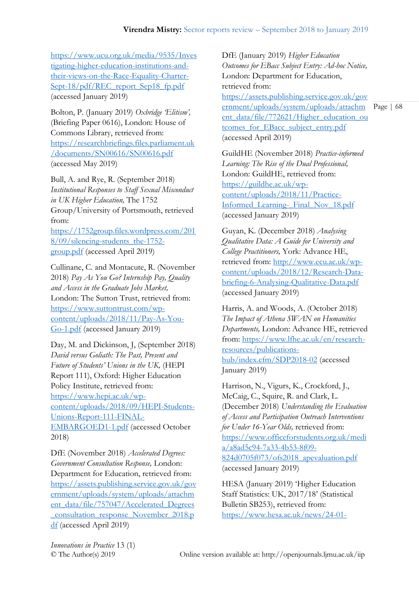[https://www.ucu.org.uk/media/9535/Inves](https://www.ucu.org.uk/media/9535/Investigating-higher-education-institutions-and-their-views-on-the-Race-Equality-Charter-Sept-18/pdf/REC_report_Sep18_fp.pdf) [tigating-higher-education-institutions-and](https://www.ucu.org.uk/media/9535/Investigating-higher-education-institutions-and-their-views-on-the-Race-Equality-Charter-Sept-18/pdf/REC_report_Sep18_fp.pdf)[their-views-on-the-Race-Equality-Charter-](https://www.ucu.org.uk/media/9535/Investigating-higher-education-institutions-and-their-views-on-the-Race-Equality-Charter-Sept-18/pdf/REC_report_Sep18_fp.pdf)[Sept-18/pdf/REC\\_report\\_Sep18\\_fp.pdf](https://www.ucu.org.uk/media/9535/Investigating-higher-education-institutions-and-their-views-on-the-Race-Equality-Charter-Sept-18/pdf/REC_report_Sep18_fp.pdf) (accessed January 2019)

Bolton, P. (January 2019) *Oxbridge 'Elitism',*  (Briefing Paper 0616), London: House of Commons Library, retrieved from: [https://researchbriefings.files.parliament.uk](https://researchbriefings.files.parliament.uk/documents/SN00616/SN00616.pdf) [/documents/SN00616/SN00616.pdf](https://researchbriefings.files.parliament.uk/documents/SN00616/SN00616.pdf) (accessed May 2019)

Bull, A. and Rye, R. (September 2018) *Institutional Responses to Staff Sexual Misconduct in UK Higher Education,* The 1752 Group/University of Portsmouth, retrieved from:

[https://1752group.files.wordpress.com/201](https://1752group.files.wordpress.com/2018/09/silencing-students_the-1752-group.pdf) 8/09/silencing-students the-1752[group.pdf](https://1752group.files.wordpress.com/2018/09/silencing-students_the-1752-group.pdf) (accessed April 2019)

Cullinane, C. and Montacute, R. (November 2018) *Pay As You Go? Internship Pay, Quality and Access in the Graduate Jobs Market,*  London: The Sutton Trust, retrieved from: [https://www.suttontrust.com/wp](https://www.suttontrust.com/wp-content/uploads/2018/11/Pay-As-You-Go-1.pdf)[content/uploads/2018/11/Pay-As-You-](https://www.suttontrust.com/wp-content/uploads/2018/11/Pay-As-You-Go-1.pdf)[Go-1.pdf](https://www.suttontrust.com/wp-content/uploads/2018/11/Pay-As-You-Go-1.pdf) (accessed January 2019)

Day, M. and Dickinson, J, (September 2018) *David versus Goliath: The Past, Present and Future of Students' Unions in the UK,* (HEPI Report 111), Oxford: Higher Education Policy Institute, retrieved from: [https://www.hepi.ac.uk/wp](https://www.hepi.ac.uk/wp-content/uploads/2018/09/HEPI-Students-Unions-Report-111-FINAL-EMBARGOED1-1.pdf)[content/uploads/2018/09/HEPI-Students-](https://www.hepi.ac.uk/wp-content/uploads/2018/09/HEPI-Students-Unions-Report-111-FINAL-EMBARGOED1-1.pdf)[Unions-Report-111-FINAL-](https://www.hepi.ac.uk/wp-content/uploads/2018/09/HEPI-Students-Unions-Report-111-FINAL-EMBARGOED1-1.pdf)[EMBARGOED1-1.pdf](https://www.hepi.ac.uk/wp-content/uploads/2018/09/HEPI-Students-Unions-Report-111-FINAL-EMBARGOED1-1.pdf) (accessed October 2018)

DfE (November 2018) *Accelerated Degrees: Government Consultation Response,* London: Department for Education, retrieved from: [https://assets.publishing.service.gov.uk/gov](https://assets.publishing.service.gov.uk/government/uploads/system/uploads/attachment_data/file/757047/Accelerated_Degrees_consultation_response_November_2018.pdf) [ernment/uploads/system/uploads/attachm](https://assets.publishing.service.gov.uk/government/uploads/system/uploads/attachment_data/file/757047/Accelerated_Degrees_consultation_response_November_2018.pdf) [ent\\_data/file/757047/Accelerated\\_Degrees](https://assets.publishing.service.gov.uk/government/uploads/system/uploads/attachment_data/file/757047/Accelerated_Degrees_consultation_response_November_2018.pdf) [\\_consultation\\_response\\_November\\_2018.p](https://assets.publishing.service.gov.uk/government/uploads/system/uploads/attachment_data/file/757047/Accelerated_Degrees_consultation_response_November_2018.pdf) [df](https://assets.publishing.service.gov.uk/government/uploads/system/uploads/attachment_data/file/757047/Accelerated_Degrees_consultation_response_November_2018.pdf) (accessed April 2019)

DfE (January 2019) *Higher Education Outcomes for EBacc Subject Entry: Ad-hoc Notice,*  London: Department for Education, retrieved from:

[https://assets.publishing.service.gov.uk/gov](https://assets.publishing.service.gov.uk/government/uploads/system/uploads/attachment_data/file/772621/Higher_education_outcomes_for_EBacc_subject_entry.pdf) [ernment/uploads/system/uploads/attachm](https://assets.publishing.service.gov.uk/government/uploads/system/uploads/attachment_data/file/772621/Higher_education_outcomes_for_EBacc_subject_entry.pdf) [ent\\_data/file/772621/Higher\\_education\\_ou](https://assets.publishing.service.gov.uk/government/uploads/system/uploads/attachment_data/file/772621/Higher_education_outcomes_for_EBacc_subject_entry.pdf) [tcomes\\_for\\_EBacc\\_subject\\_entry.pdf](https://assets.publishing.service.gov.uk/government/uploads/system/uploads/attachment_data/file/772621/Higher_education_outcomes_for_EBacc_subject_entry.pdf) (accessed April 2019)

GuildHE (November 2018) *Practice-informed Learning: The Rise of the Dual Professional,*  London: GuildHE, retrieved from: [https://guildhe.ac.uk/wp](https://guildhe.ac.uk/wp-content/uploads/2018/11/Practice-Informed_Learning-_Final_Nov_18.pdf)[content/uploads/2018/11/Practice-](https://guildhe.ac.uk/wp-content/uploads/2018/11/Practice-Informed_Learning-_Final_Nov_18.pdf)[Informed\\_Learning-\\_Final\\_Nov\\_18.pdf](https://guildhe.ac.uk/wp-content/uploads/2018/11/Practice-Informed_Learning-_Final_Nov_18.pdf) (accessed January 2019)

Guyan, K. (December 2018) *Analysing Qualitative Data: A Guide for University and College Practitioners,* York: Advance HE, retrieved from: [http://www.ecu.ac.uk/wp](http://www.ecu.ac.uk/wp-content/uploads/2018/12/Research-Data-briefing-6-Analysing-Qualitative-Data.pdf)[content/uploads/2018/12/Research-Data](http://www.ecu.ac.uk/wp-content/uploads/2018/12/Research-Data-briefing-6-Analysing-Qualitative-Data.pdf)[briefing-6-Analysing-Qualitative-Data.pdf](http://www.ecu.ac.uk/wp-content/uploads/2018/12/Research-Data-briefing-6-Analysing-Qualitative-Data.pdf) (accessed January 2019)

Harris, A. and Woods, A. (October 2018) *The Impact of Athena SWAN on Humanities Departments,* London: Advance HE, retrieved from: [https://www.lfhe.ac.uk/en/research](https://www.lfhe.ac.uk/en/research-resources/publications-hub/index.cfm/SDP2018-02)[resources/publications](https://www.lfhe.ac.uk/en/research-resources/publications-hub/index.cfm/SDP2018-02)[hub/index.cfm/SDP2018-02](https://www.lfhe.ac.uk/en/research-resources/publications-hub/index.cfm/SDP2018-02) (accessed January 2019)

Harrison, N., Vigurs, K., Crockford, J., McCaig, C., Squire, R. and Clark, L. (December 2018) *Understanding the Evaluation of Access and Participation Outreach Interventions for Under 16-Year Olds,* retrieved from: [https://www.officeforstudents.org.uk/medi](https://www.officeforstudents.org.uk/media/a8ad5c94-7a33-4b53-8f09-824d0705f073/ofs2018_apevaluation.pdf) [a/a8ad5c94-7a33-4b53-8f09-](https://www.officeforstudents.org.uk/media/a8ad5c94-7a33-4b53-8f09-824d0705f073/ofs2018_apevaluation.pdf) [824d0705f073/ofs2018\\_apevaluation.pdf](https://www.officeforstudents.org.uk/media/a8ad5c94-7a33-4b53-8f09-824d0705f073/ofs2018_apevaluation.pdf) (accessed January 2019)

HESA (January 2019) 'Higher Education Staff Statistics: UK, 2017/18' (Statistical Bulletin SB253), retrieved from: [https://www.hesa.ac.uk/news/24-01-](https://www.hesa.ac.uk/news/24-01-2019/sb253-higher-education-staff-statistics)

*Innovations in Practice* 13 (1)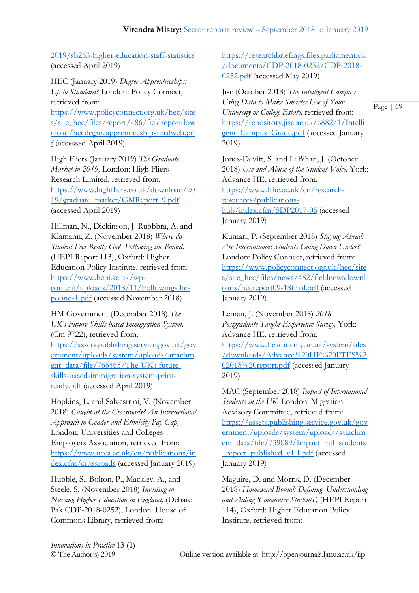[2019/sb253-higher-education-staff-statistics](https://www.hesa.ac.uk/news/24-01-2019/sb253-higher-education-staff-statistics) (accessed April 2019)

HEC (January 2019) *Degree Apprenticeships: Up to Standard?* London: Policy Connect, retrieved from:

[https://www.policyconnect.org.uk/hec/site](https://www.policyconnect.org.uk/hec/sites/site_hec/files/report/486/fieldreportdownload/hecdegreeapprenticeshipsfinalweb.pdf) [s/site\\_hec/files/report/486/fieldreportdow](https://www.policyconnect.org.uk/hec/sites/site_hec/files/report/486/fieldreportdownload/hecdegreeapprenticeshipsfinalweb.pdf) [nload/hecdegreeapprenticeshipsfinalweb.pd](https://www.policyconnect.org.uk/hec/sites/site_hec/files/report/486/fieldreportdownload/hecdegreeapprenticeshipsfinalweb.pdf) [f](https://www.policyconnect.org.uk/hec/sites/site_hec/files/report/486/fieldreportdownload/hecdegreeapprenticeshipsfinalweb.pdf) (accessed April 2019)

High Fliers (January 2019) *The Graduate Market in 2019,* London: High Fliers Research Limited, retrieved from: [https://www.highfliers.co.uk/download/20](https://www.highfliers.co.uk/download/2019/graduate_market/GMReport19.pdf) [19/graduate\\_market/GMReport19.pdf](https://www.highfliers.co.uk/download/2019/graduate_market/GMReport19.pdf) (accessed April 2019)

Hillman, N., Dickinson, J. Rubbbra, A. and Klamann, Z. (November 2018) *Where do Student Fees Really Go? Following the Pound,*  (HEPI Report 113), Oxford: Higher Education Policy Institute, retrieved from: [https://www.hepi.ac.uk/wp](https://www.hepi.ac.uk/wp-content/uploads/2018/11/Following-the-pound-1.pdf)[content/uploads/2018/11/Following-the](https://www.hepi.ac.uk/wp-content/uploads/2018/11/Following-the-pound-1.pdf)[pound-1.pdf](https://www.hepi.ac.uk/wp-content/uploads/2018/11/Following-the-pound-1.pdf) (accessed November 2018)

HM Government (December 2018) *The UK's Future Skills-based Immigration System,*  (Cm 9722), retrieved from: [https://assets.publishing.service.gov.uk/gov](https://assets.publishing.service.gov.uk/government/uploads/system/uploads/attachment_data/file/766465/The-UKs-future-skills-based-immigration-system-print-ready.pdf) [ernment/uploads/system/uploads/attachm](https://assets.publishing.service.gov.uk/government/uploads/system/uploads/attachment_data/file/766465/The-UKs-future-skills-based-immigration-system-print-ready.pdf) [ent\\_data/file/766465/The-UKs-future](https://assets.publishing.service.gov.uk/government/uploads/system/uploads/attachment_data/file/766465/The-UKs-future-skills-based-immigration-system-print-ready.pdf)[skills-based-immigration-system-print](https://assets.publishing.service.gov.uk/government/uploads/system/uploads/attachment_data/file/766465/The-UKs-future-skills-based-immigration-system-print-ready.pdf)[ready.pdf](https://assets.publishing.service.gov.uk/government/uploads/system/uploads/attachment_data/file/766465/The-UKs-future-skills-based-immigration-system-print-ready.pdf) (accessed April 2019)

Hopkins, L. and Salvestrini, V. (November 2018) *Caught at the Crossroads? An Intersectional Approach to Gender and Ethnicity Pay Gap,*  London: Universities and Colleges Employers Association, retrieved from: [https://www.ucea.ac.uk/en/publications/in](https://www.ucea.ac.uk/en/publications/index.cfm/crossroads) [dex.cfm/crossroads](https://www.ucea.ac.uk/en/publications/index.cfm/crossroads) (accessed January 2019)

Hubble, S., Bolton, P., Mackley, A., and Steele, S. (November 2018) *Investing in Nursing Higher Education in England,* (Debate Pak CDP-2018-0252), London: House of Commons Library, retrieved from:

[https://researchbriefings.files.parliament.uk](https://researchbriefings.files.parliament.uk/documents/CDP-2018-0252/CDP-2018-0252.pdf) [/documents/CDP-2018-0252/CDP-2018-](https://researchbriefings.files.parliament.uk/documents/CDP-2018-0252/CDP-2018-0252.pdf) [0252.pdf](https://researchbriefings.files.parliament.uk/documents/CDP-2018-0252/CDP-2018-0252.pdf) (accessed May 2019)

Jisc (October 2018) *The Intelligent Campus: Using Data to Make Smarter Use of Your University or College Estate,* retrieved from: [https://repository.jisc.ac.uk/6882/1/Intelli](https://repository.jisc.ac.uk/6882/1/Intelligent_Campus_Guide.pdf) [gent\\_Campus\\_Guide.pdf](https://repository.jisc.ac.uk/6882/1/Intelligent_Campus_Guide.pdf) (accessed January 2019)

Jones-Devitt, S. and LeBihan, J. (October 2018) *Use and Abuse of the Student Voice,* York: Advance HE, retrieved from: [https://www.lfhe.ac.uk/en/research](https://www.lfhe.ac.uk/en/research-resources/publications-hub/index.cfm/SDP2017-05)[resources/publications](https://www.lfhe.ac.uk/en/research-resources/publications-hub/index.cfm/SDP2017-05)[hub/index.cfm/SDP2017-05](https://www.lfhe.ac.uk/en/research-resources/publications-hub/index.cfm/SDP2017-05) (accessed January 2019)

Kumari, P. (September 2018) *Staying Ahead: Are International Students Going Down Under?*  London: Policy Connect, retrieved from: [https://www.policyconnect.org.uk/hec/site](https://www.policyconnect.org.uk/hec/sites/site_hec/files/news/482/fieldnewsdownloads/hecreport09-18final.pdf) [s/site\\_hec/files/news/482/fieldnewsdownl](https://www.policyconnect.org.uk/hec/sites/site_hec/files/news/482/fieldnewsdownloads/hecreport09-18final.pdf) [oads/hecreport09-18final.pdf](https://www.policyconnect.org.uk/hec/sites/site_hec/files/news/482/fieldnewsdownloads/hecreport09-18final.pdf) (accessed January 2019)

Leman, J. (November 2018) *2018 Postgraduate Taught Experience Survey,* York: Advance HE, retrieved from: [https://www.heacademy.ac.uk/system/files](https://www.heacademy.ac.uk/system/files/downloads/Advance%20HE%20PTES%202018%20report.pdf) [/downloads/Advance%20HE%20PTES%2](https://www.heacademy.ac.uk/system/files/downloads/Advance%20HE%20PTES%202018%20report.pdf) [02018%20report.pdf](https://www.heacademy.ac.uk/system/files/downloads/Advance%20HE%20PTES%202018%20report.pdf) (accessed January 2019)

MAC (September 2018) *Impact of International Students in the UK,* London: Migration Advisory Committee, retrieved from: [https://assets.publishing.service.gov.uk/gov](https://assets.publishing.service.gov.uk/government/uploads/system/uploads/attachment_data/file/739089/Impact_intl_students_report_published_v1.1.pdf) [ernment/uploads/system/uploads/attachm](https://assets.publishing.service.gov.uk/government/uploads/system/uploads/attachment_data/file/739089/Impact_intl_students_report_published_v1.1.pdf) [ent\\_data/file/739089/Impact\\_intl\\_students](https://assets.publishing.service.gov.uk/government/uploads/system/uploads/attachment_data/file/739089/Impact_intl_students_report_published_v1.1.pdf) report\_published\_v1.1.pdf (accessed January 2019)

Maguire, D. and Morris, D. (December 2018) *Homeward Bound: Defining, Understanding and Aiding 'Commuter Students',* (HEPI Report 114), Oxford: Higher Education Policy Institute, retrieved from:

*Innovations in Practice* 13 (1)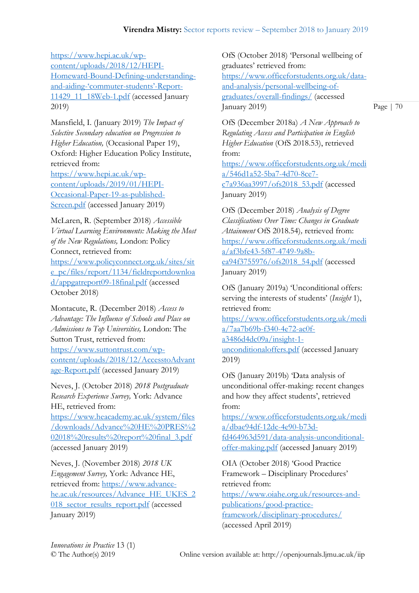[https://www.hepi.ac.uk/wp](https://www.hepi.ac.uk/wp-content/uploads/2018/12/HEPI-Homeward-Bound-Defining-understanding-and-aiding-)[content/uploads/2018/12/HEPI-](https://www.hepi.ac.uk/wp-content/uploads/2018/12/HEPI-Homeward-Bound-Defining-understanding-and-aiding-)[Homeward-Bound-Defining-understanding](https://www.hepi.ac.uk/wp-content/uploads/2018/12/HEPI-Homeward-Bound-Defining-understanding-and-aiding-)[and-aiding-](https://www.hepi.ac.uk/wp-content/uploads/2018/12/HEPI-Homeward-Bound-Defining-understanding-and-aiding-)'commuter-students'-Report-[11429\\_11\\_18Web-1.pdf](https://www.hepi.ac.uk/wp-content/uploads/2018/12/HEPI-Homeward-Bound-Defining-understanding-and-aiding-) (accessed January 2019)

Mansfield, I. (January 2019) *The Impact of Selective Secondary education on Progression to Higher Education,* (Occasional Paper 19), Oxford: Higher Education Policy Institute, retrieved from: [https://www.hepi.ac.uk/wp](https://www.hepi.ac.uk/wp-content/uploads/2019/01/HEPI-Occasional-Paper-19-as-published-Screen.pdf)[content/uploads/2019/01/HEPI-](https://www.hepi.ac.uk/wp-content/uploads/2019/01/HEPI-Occasional-Paper-19-as-published-Screen.pdf)[Occasional-Paper-19-as-published-](https://www.hepi.ac.uk/wp-content/uploads/2019/01/HEPI-Occasional-Paper-19-as-published-Screen.pdf)[Screen.pdf](https://www.hepi.ac.uk/wp-content/uploads/2019/01/HEPI-Occasional-Paper-19-as-published-Screen.pdf) (accessed January 2019)

McLaren, R. (September 2018) *Accessible Virtual Learning Environments: Making the Most of the New Regulations,* London: Policy Connect, retrieved from: [https://www.policyconnect.org.uk/sites/sit](https://www.policyconnect.org.uk/sites/site_pc/files/report/1134/fieldreportdownload/appgatreport09-18final.pdf) [e\\_pc/files/report/1134/fieldreportdownloa](https://www.policyconnect.org.uk/sites/site_pc/files/report/1134/fieldreportdownload/appgatreport09-18final.pdf) [d/appgatreport09-18final.pdf](https://www.policyconnect.org.uk/sites/site_pc/files/report/1134/fieldreportdownload/appgatreport09-18final.pdf) (accessed October 2018)

Montacute, R. (December 2018) *Access to Advantage: The Influence of Schools and Place on Admissions to Top Universities,* London: The Sutton Trust, retrieved from: [https://www.suttontrust.com/wp-](https://www.suttontrust.com/wp-content/uploads/2018/12/AccesstoAdvantage-Report.pdf)

[content/uploads/2018/12/AccesstoAdvant](https://www.suttontrust.com/wp-content/uploads/2018/12/AccesstoAdvantage-Report.pdf) [age-Report.pdf](https://www.suttontrust.com/wp-content/uploads/2018/12/AccesstoAdvantage-Report.pdf) (accessed January 2019)

Neves, J. (October 2018) *2018 Postgraduate Research Experience Survey,* York: Advance HE, retrieved from:

[https://www.heacademy.ac.uk/system/files](https://www.heacademy.ac.uk/system/files/downloads/Advance%20HE%20PRES%202018%20results%20report%20final_3.pdf) [/downloads/Advance%20HE%20PRES%2](https://www.heacademy.ac.uk/system/files/downloads/Advance%20HE%20PRES%202018%20results%20report%20final_3.pdf) [02018%20results%20report%20final\\_3.pdf](https://www.heacademy.ac.uk/system/files/downloads/Advance%20HE%20PRES%202018%20results%20report%20final_3.pdf) (accessed January 2019)

Neves, J. (November 2018) *2018 UK Engagement Survey,* York: Advance HE, retrieved from: [https://www.advance](https://www.advance-he.ac.uk/resources/Advance_HE_UKES_2018_sector_results_report.pdf)[he.ac.uk/resources/Advance\\_HE\\_UKES\\_2](https://www.advance-he.ac.uk/resources/Advance_HE_UKES_2018_sector_results_report.pdf) [018\\_sector\\_results\\_report.pdf](https://www.advance-he.ac.uk/resources/Advance_HE_UKES_2018_sector_results_report.pdf) (accessed January 2019)

OfS (October 2018) 'Personal wellbeing of graduates' retrieved from: [https://www.officeforstudents.org.uk/data](https://www.officeforstudents.org.uk/data-and-analysis/personal-wellbeing-of-graduates/overall-findings/)[and-analysis/personal-wellbeing-of](https://www.officeforstudents.org.uk/data-and-analysis/personal-wellbeing-of-graduates/overall-findings/)[graduates/overall-findings/](https://www.officeforstudents.org.uk/data-and-analysis/personal-wellbeing-of-graduates/overall-findings/) (accessed January 2019)

Page | 70

OfS (December 2018a) *A New Approach to Regulating Access and Participation in English Higher Education* (OfS 2018.53), retrieved from:

[https://www.officeforstudents.org.uk/medi](https://www.officeforstudents.org.uk/media/546d1a52-5ba7-4d70-8ce7-c7a936aa3997/ofs2018_53.pdf) [a/546d1a52-5ba7-4d70-8ce7](https://www.officeforstudents.org.uk/media/546d1a52-5ba7-4d70-8ce7-c7a936aa3997/ofs2018_53.pdf) [c7a936aa3997/ofs2018\\_53.pdf](https://www.officeforstudents.org.uk/media/546d1a52-5ba7-4d70-8ce7-c7a936aa3997/ofs2018_53.pdf) (accessed January 2019)

OfS (December 2018) *Analysis of Degree Classifications Over Time: Changes in Graduate Attainment* OfS 2018.54)*,* retrieved from: [https://www.officeforstudents.org.uk/medi](https://www.officeforstudents.org.uk/media/af3bfe43-5f87-4749-9a8b-ea94f3755976/ofs2018_54.pdf) [a/af3bfe43-5f87-4749-9a8b](https://www.officeforstudents.org.uk/media/af3bfe43-5f87-4749-9a8b-ea94f3755976/ofs2018_54.pdf)[ea94f3755976/ofs2018\\_54.pdf](https://www.officeforstudents.org.uk/media/af3bfe43-5f87-4749-9a8b-ea94f3755976/ofs2018_54.pdf) (accessed January 2019)

OfS (January 2019a) 'Unconditional offers: serving the interests of students' (*Insight* 1), retrieved from:

[https://www.officeforstudents.org.uk/medi](https://www.officeforstudents.org.uk/media/7aa7b69b-f340-4e72-ac0f-a3486d4dc09a/insight-1-unconditionaloffers.pdf) [a/7aa7b69b-f340-4e72-ac0f](https://www.officeforstudents.org.uk/media/7aa7b69b-f340-4e72-ac0f-a3486d4dc09a/insight-1-unconditionaloffers.pdf)[a3486d4dc09a/insight-1](https://www.officeforstudents.org.uk/media/7aa7b69b-f340-4e72-ac0f-a3486d4dc09a/insight-1-unconditionaloffers.pdf) [unconditionaloffers.pdf](https://www.officeforstudents.org.uk/media/7aa7b69b-f340-4e72-ac0f-a3486d4dc09a/insight-1-unconditionaloffers.pdf) (accessed January 2019)

OfS (January 2019b) 'Data analysis of unconditional offer-making: recent changes and how they affect students', retrieved from:

[https://www.officeforstudents.org.uk/medi](https://www.officeforstudents.org.uk/media/dbae94df-12dc-4e90-b73d-fd464963d591/data-analysis-unconditional-offer-making.pdf) [a/dbae94df-12dc-4e90-b73d](https://www.officeforstudents.org.uk/media/dbae94df-12dc-4e90-b73d-fd464963d591/data-analysis-unconditional-offer-making.pdf)[fd464963d591/data-analysis-unconditional](https://www.officeforstudents.org.uk/media/dbae94df-12dc-4e90-b73d-fd464963d591/data-analysis-unconditional-offer-making.pdf)[offer-making.pdf](https://www.officeforstudents.org.uk/media/dbae94df-12dc-4e90-b73d-fd464963d591/data-analysis-unconditional-offer-making.pdf) (accessed January 2019)

OIA (October 2018) 'Good Practice Framework – Disciplinary Procedures' retrieved from: [https://www.oiahe.org.uk/resources-and](https://www.oiahe.org.uk/resources-and-publications/good-practice-framework/disciplinary-procedures/)[publications/good-practice](https://www.oiahe.org.uk/resources-and-publications/good-practice-framework/disciplinary-procedures/)[framework/disciplinary-procedures/](https://www.oiahe.org.uk/resources-and-publications/good-practice-framework/disciplinary-procedures/)

(accessed April 2019)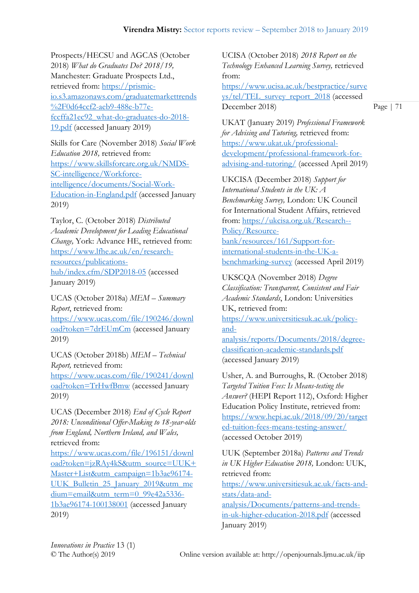Prospects/HECSU and AGCAS (October 2018) *What do Graduates Do? 2018/19,*  Manchester: Graduate Prospects Ltd., retrieved from: [https://prismic](https://prismic-io.s3.amazonaws.com/graduatemarkettrends%2F0d64ccf2-aeb9-488e-b77e-fccffa21ec92_what-do-graduates-do-2018-19.pdf)[io.s3.amazonaws.com/graduatemarkettrends](https://prismic-io.s3.amazonaws.com/graduatemarkettrends%2F0d64ccf2-aeb9-488e-b77e-fccffa21ec92_what-do-graduates-do-2018-19.pdf) [%2F0d64ccf2-aeb9-488e-b77e](https://prismic-io.s3.amazonaws.com/graduatemarkettrends%2F0d64ccf2-aeb9-488e-b77e-fccffa21ec92_what-do-graduates-do-2018-19.pdf)[fccffa21ec92\\_what-do-graduates-do-2018-](https://prismic-io.s3.amazonaws.com/graduatemarkettrends%2F0d64ccf2-aeb9-488e-b77e-fccffa21ec92_what-do-graduates-do-2018-19.pdf) [19.pdf](https://prismic-io.s3.amazonaws.com/graduatemarkettrends%2F0d64ccf2-aeb9-488e-b77e-fccffa21ec92_what-do-graduates-do-2018-19.pdf) (accessed January 2019)

Skills for Care (November 2018) *Social Work Education 2018,* retrieved from: [https://www.skillsforcare.org.uk/NMDS-](https://www.skillsforcare.org.uk/NMDS-SC-intelligence/Workforce-intelligence/documents/Social-Work-Education-in-England.pdf)[SC-intelligence/Workforce](https://www.skillsforcare.org.uk/NMDS-SC-intelligence/Workforce-intelligence/documents/Social-Work-Education-in-England.pdf)[intelligence/documents/Social-Work-](https://www.skillsforcare.org.uk/NMDS-SC-intelligence/Workforce-intelligence/documents/Social-Work-Education-in-England.pdf)[Education-in-England.pdf](https://www.skillsforcare.org.uk/NMDS-SC-intelligence/Workforce-intelligence/documents/Social-Work-Education-in-England.pdf) (accessed January 2019)

Taylor, C. (October 2018) *Distributed Academic Development for Leading Educational Change,* York: Advance HE, retrieved from: [https://www.lfhe.ac.uk/en/research](https://www.lfhe.ac.uk/en/research-resources/publications-hub/index.cfm/SDP2018-05)[resources/publications](https://www.lfhe.ac.uk/en/research-resources/publications-hub/index.cfm/SDP2018-05)[hub/index.cfm/SDP2018-05](https://www.lfhe.ac.uk/en/research-resources/publications-hub/index.cfm/SDP2018-05) (accessed January 2019)

UCAS (October 2018a) *MEM – Summary Report*, retrieved from: [https://www.ucas.com/file/190246/downl](https://www.ucas.com/file/190246/download?token=7drEUmCm) [oad?token=7drEUmCm](https://www.ucas.com/file/190246/download?token=7drEUmCm) (accessed January 2019)

UCAS (October 2018b) *MEM – Technical Report,* retrieved from:

[https://www.ucas.com/file/190241/downl](https://www.ucas.com/file/190241/download?token=TrHwfBmw) [oad?token=TrHwfBmw](https://www.ucas.com/file/190241/download?token=TrHwfBmw) (accessed January 2019)

UCAS (December 2018) *End of Cycle Report 2018: Unconditional Offer-Making to 18-year-olds from England, Northern Ireland, and Wales,* retrieved from:

[https://www.ucas.com/file/196151/downl](https://www.ucas.com/file/196151/download?token=jzRAy4kS&utm_source=UUK+Master+List&utm_campaign=1b3ae96174-UUK_Bulletin_25_January_2019&utm_medium=email&utm_term=0_99e42a5336-1b3ae96174-100138001) [oad?token=jzRAy4kS&utm\\_source=UUK+](https://www.ucas.com/file/196151/download?token=jzRAy4kS&utm_source=UUK+Master+List&utm_campaign=1b3ae96174-UUK_Bulletin_25_January_2019&utm_medium=email&utm_term=0_99e42a5336-1b3ae96174-100138001) [Master+List&utm\\_campaign=1b3ae96174-](https://www.ucas.com/file/196151/download?token=jzRAy4kS&utm_source=UUK+Master+List&utm_campaign=1b3ae96174-UUK_Bulletin_25_January_2019&utm_medium=email&utm_term=0_99e42a5336-1b3ae96174-100138001) UUK Bulletin 25 January 2019&utm\_me [dium=email&utm\\_term=0\\_99e42a5336-](https://www.ucas.com/file/196151/download?token=jzRAy4kS&utm_source=UUK+Master+List&utm_campaign=1b3ae96174-UUK_Bulletin_25_January_2019&utm_medium=email&utm_term=0_99e42a5336-1b3ae96174-100138001) [1b3ae96174-100138001](https://www.ucas.com/file/196151/download?token=jzRAy4kS&utm_source=UUK+Master+List&utm_campaign=1b3ae96174-UUK_Bulletin_25_January_2019&utm_medium=email&utm_term=0_99e42a5336-1b3ae96174-100138001) (accessed January 2019)

UCISA (October 2018) *2018 Report on the Technology Enhanced Learning Survey,* retrieved from:

[https://www.ucisa.ac.uk/bestpractice/surve](https://www.ucisa.ac.uk/bestpractice/surveys/tel/TEL_survey_report_2018) [ys/tel/TEL\\_survey\\_report\\_2018](https://www.ucisa.ac.uk/bestpractice/surveys/tel/TEL_survey_report_2018) (accessed December 2018)

Page | 71

UKAT (January 2019) *Professional Framework for Advising and Tutoring,* retrieved from: [https://www.ukat.uk/professional](https://www.ukat.uk/professional-development/professional-framework-for-advising-and-tutoring/)[development/professional-framework-for](https://www.ukat.uk/professional-development/professional-framework-for-advising-and-tutoring/)[advising-and-tutoring/](https://www.ukat.uk/professional-development/professional-framework-for-advising-and-tutoring/) (accessed April 2019)

UKCISA (December 2018) *Support for International Students in the UK: A Benchmarking Survey,* London: UK Council for International Student Affairs, retrieved from: [https://ukcisa.org.uk/Research--](https://ukcisa.org.uk/Research--Policy/Resource-bank/resources/161/Support-for-international-students-in-the-UK-a-benchmarking-survey) [Policy/Resource](https://ukcisa.org.uk/Research--Policy/Resource-bank/resources/161/Support-for-international-students-in-the-UK-a-benchmarking-survey)[bank/resources/161/Support-for](https://ukcisa.org.uk/Research--Policy/Resource-bank/resources/161/Support-for-international-students-in-the-UK-a-benchmarking-survey)[international-students-in-the-UK-a](https://ukcisa.org.uk/Research--Policy/Resource-bank/resources/161/Support-for-international-students-in-the-UK-a-benchmarking-survey)[benchmarking-survey](https://ukcisa.org.uk/Research--Policy/Resource-bank/resources/161/Support-for-international-students-in-the-UK-a-benchmarking-survey) (accessed April 2019)

UKSCQA (November 2018) *Degree Classification: Transparent, Consistent and Fair Academic Standards*, London: Universities UK, retrieved from:

[https://www.universitiesuk.ac.uk/policy](https://www.universitiesuk.ac.uk/policy-and-analysis/reports/Documents/2018/degree-classification-academic-standards.pdf)[and](https://www.universitiesuk.ac.uk/policy-and-analysis/reports/Documents/2018/degree-classification-academic-standards.pdf)[analysis/reports/Documents/2018/degree](https://www.universitiesuk.ac.uk/policy-and-analysis/reports/Documents/2018/degree-classification-academic-standards.pdf)[classification-academic-standards.pdf](https://www.universitiesuk.ac.uk/policy-and-analysis/reports/Documents/2018/degree-classification-academic-standards.pdf)

(accessed January 2019)

Usher, A. and Burroughs, R. (October 2018) *Targeted Tuition Fees: Is Means-testing the Answer?* (HEPI Report 112), Oxford: Higher Education Policy Institute, retrieved from: [https://www.hepi.ac.uk/2018/09/20/target](https://www.hepi.ac.uk/2018/09/20/targeted-tuition-fees-means-testing-answer/) [ed-tuition-fees-means-testing-answer/](https://www.hepi.ac.uk/2018/09/20/targeted-tuition-fees-means-testing-answer/) (accessed October 2019)

UUK (September 2018a) *Patterns and Trends in UK Higher Education 2018,* London: UUK, retrieved from: [https://www.universitiesuk.ac.uk/facts-and](https://www.universitiesuk.ac.uk/facts-and-stats/data-and-analysis/Documents/patterns-and-trends-in-uk-higher-education-2018.pdf)[stats/data-and](https://www.universitiesuk.ac.uk/facts-and-stats/data-and-analysis/Documents/patterns-and-trends-in-uk-higher-education-2018.pdf)[analysis/Documents/patterns-and-trends](https://www.universitiesuk.ac.uk/facts-and-stats/data-and-analysis/Documents/patterns-and-trends-in-uk-higher-education-2018.pdf)[in-uk-higher-education-2018.pdf](https://www.universitiesuk.ac.uk/facts-and-stats/data-and-analysis/Documents/patterns-and-trends-in-uk-higher-education-2018.pdf) (accessed January 2019)